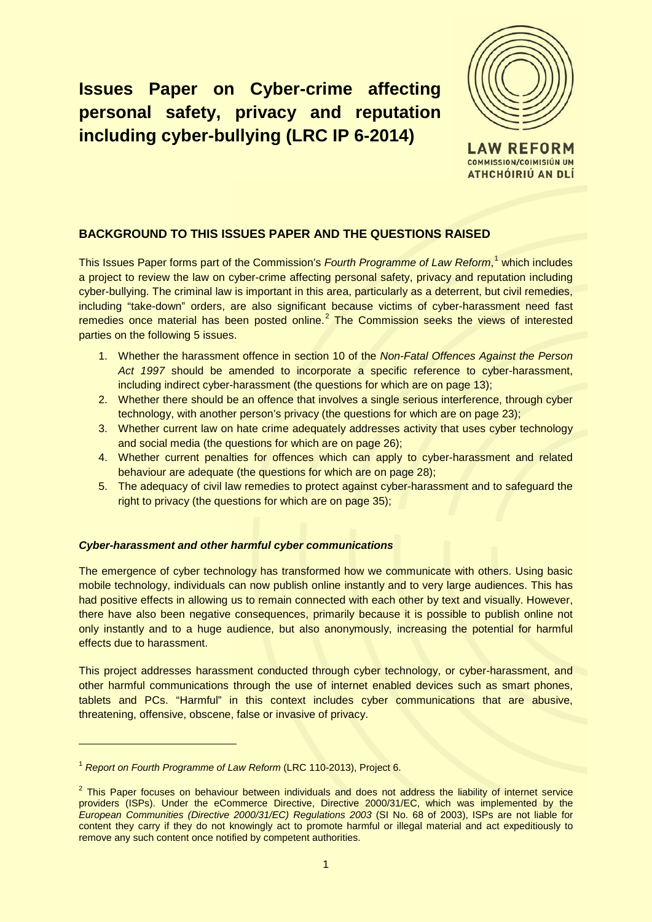# **Issues Paper on Cyber-crime affecting personal safety, privacy and reputation including cyber-bullying (LRC IP 6-2014)**



**COMMISSION/COIMISIÚN UM** ATHCHÓIRIÚ AN DLÍ

# **BACKGROUND TO THIS ISSUES PAPER AND THE QUESTIONS RAISED**

This Issues Paper forms part of the Commission's *Fourth Programme of Law Reform*, [1](#page-0-0) which includes a project to review the law on cyber-crime affecting personal safety, privacy and reputation including cyber-bullying. The criminal law is important in this area, particularly as a deterrent, but civil remedies, including "take-down" orders, are also significant because victims of cyber-harassment need fast remedies once material has been posted online.<sup>[2](#page-0-1)</sup> The Commission seeks the views of interested parties on the following 5 issues.

- 1. Whether the harassment offence in section 10 of the *Non-Fatal Offences Against the Person Act 1997* should be amended to incorporate a specific reference to cyber-harassment, including indirect cyber-harassment (the questions for which are on page 13);
- 2. Whether there should be an offence that involves a single serious interference, through cyber technology, with another person's privacy (the questions for which are on page 23);
- 3. Whether current law on hate crime adequately addresses activity that uses cyber technology and social media (the questions for which are on page 26);
- 4. Whether current penalties for offences which can apply to cyber-harassment and related behaviour are adequate (the questions for which are on page 28);
- 5. The adequacy of civil law remedies to protect against cyber-harassment and to safeguard the right to privacy (the questions for which are on page 35);

# *Cyber-harassment and other harmful cyber communications*

The emergence of cyber technology has transformed how we communicate with others. Using basic mobile technology, individuals can now publish online instantly and to very large audiences. This has had positive effects in allowing us to remain connected with each other by text and visually. However, there have also been negative consequences, primarily because it is possible to publish online not only instantly and to a huge audience, but also anonymously, increasing the potential for harmful effects due to harassment.

This project addresses harassment conducted through cyber technology, or cyber-harassment, and other harmful communications through the use of internet enabled devices such as smart phones, tablets and PCs. "Harmful" in this context includes cyber communications that are abusive, threatening, offensive, obscene, false or invasive of privacy.

<span id="page-0-0"></span><sup>1</sup> *Report on Fourth Programme of Law Reform* (LRC 110-2013), Project 6.

<span id="page-0-1"></span><sup>&</sup>lt;sup>2</sup> This Paper focuses on behaviour between individuals and does not address the liability of internet service providers (ISPs). Under the eCommerce Directive, Directive 2000/31/EC, which was implemented by the *European Communities (Directive 2000/31/EC) Regulations 2003* (SI No. 68 of 2003), ISPs are not liable for content they carry if they do not knowingly act to promote harmful or illegal material and act expeditiously to remove any such content once notified by competent authorities.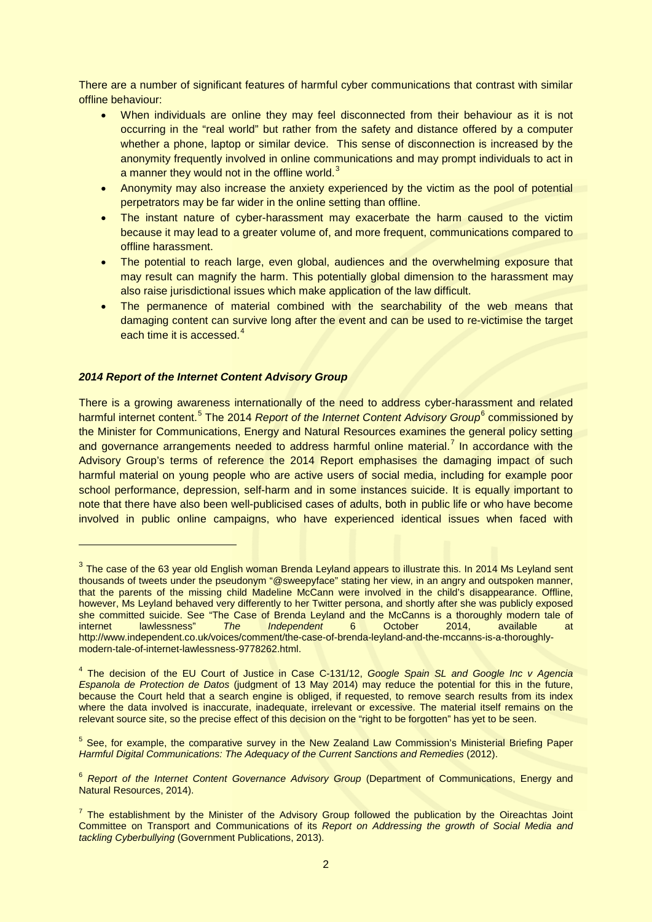There are a number of significant features of harmful cyber communications that contrast with similar offline behaviour:

- When individuals are online they may feel disconnected from their behaviour as it is not occurring in the "real world" but rather from the safety and distance offered by a computer whether a phone, laptop or similar device. This sense of disconnection is increased by the anonymity frequently involved in online communications and may prompt individuals to act in a manner they would not in the offline world.<sup>[3](#page-1-0)</sup>
- Anonymity may also increase the anxiety experienced by the victim as the pool of potential perpetrators may be far wider in the online setting than offline.
- The instant nature of cyber-harassment may exacerbate the harm caused to the victim because it may lead to a greater volume of, and more frequent, communications compared to offline harassment.
- The potential to reach large, even global, audiences and the overwhelming exposure that may result can magnify the harm. This potentially global dimension to the harassment may also raise jurisdictional issues which make application of the law difficult.
- The permanence of material combined with the searchability of the web means that damaging content can survive long after the event and can be used to re-victimise the target each time it is accessed. $4$

## *2014 Report of the Internet Content Advisory Group*

-

There is a growing awareness internationally of the need to address cyber-harassment and related harmful internet content.<sup>[5](#page-1-2)</sup> The 2014 *Report of the Internet Content Advisory Group*<sup>[6](#page-1-3)</sup> commissioned by the Minister for Communications, Energy and Natural Resources examines the general policy setting and governance arrangements needed to address harmful online material.<sup>[7](#page-1-4)</sup> In accordance with the Advisory Group's terms of reference the 2014 Report emphasises the damaging impact of such harmful material on young people who are active users of social media, including for example poor school performance, depression, self-harm and in some instances suicide. It is equally important to note that there have also been well-publicised cases of adults, both in public life or who have become involved in public online campaigns, who have experienced identical issues when faced with

<span id="page-1-0"></span><sup>&</sup>lt;sup>3</sup> The case of the 63 year old English woman Brenda Leyland appears to illustrate this. In 2014 Ms Leyland sent thousands of tweets under the pseudonym "@sweepyface" stating her view, in an angry and outspoken manner, that the parents of the missing child Madeline McCann were involved in the child's disappearance. Offline, however, Ms Leyland behaved very differently to her Twitter persona, and shortly after she was publicly exposed she committed suicide. See "The Case of Brenda Leyland and the McCanns is a thoroughly modern tale of internet lawlessness" *The Independent* 6 October 2014, available at http://www.independent.co.uk/voices/comment/the-case-of-brenda-leyland-and-the-mccanns-is-a-thoroughlymodern-tale-of-internet-lawlessness-9778262.html.

<span id="page-1-1"></span><sup>4</sup> The decision of the EU Court of Justice in Case C-131/12, *Google Spain SL and Google Inc v Agencia Espanola de Protection de Datos* (judgment of 13 May 2014) may reduce the potential for this in the future, because the Court held that a search engine is obliged, if requested, to remove search results from its index where the data involved is inaccurate, inadequate, irrelevant or excessive. The material itself remains on the relevant source site, so the precise effect of this decision on the "right to be forgotten" has yet to be seen.

<span id="page-1-2"></span><sup>&</sup>lt;sup>5</sup> See, for example, the comparative survey in the New Zealand Law Commission's Ministerial Briefing Paper *Harmful Digital Communications: The Adequacy of the Current Sanctions and Remedies* (2012).

<span id="page-1-3"></span><sup>&</sup>lt;sup>6</sup> Report of the Internet Content Governance Advisory Group (Department of Communications, Energy and Natural Resources, 2014).

<span id="page-1-4"></span> $<sup>7</sup>$  The establishment by the Minister of the Advisory Group followed the publication by the Oireachtas Joint</sup> Committee on Transport and Communications of its *Report on Addressing the growth of Social Media and tackling Cyberbullying* (Government Publications, 2013).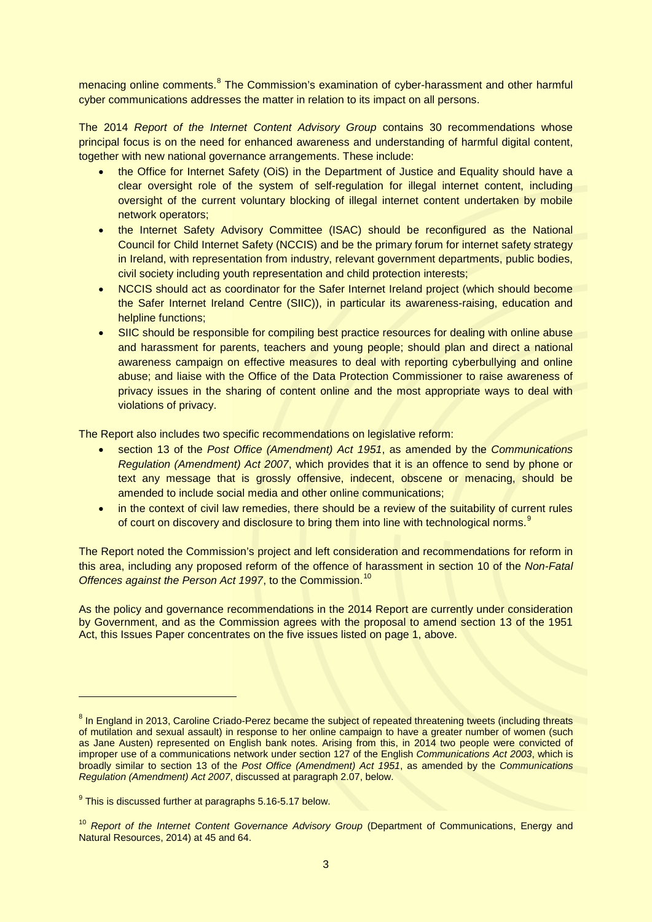menacing online comments.<sup>[8](#page-2-0)</sup> The Commission's examination of cyber-harassment and other harmful cyber communications addresses the matter in relation to its impact on all persons.

The 2014 *Report of the Internet Content Advisory Group* contains 30 recommendations whose principal focus is on the need for enhanced awareness and understanding of harmful digital content, together with new national governance arrangements. These include:

- the Office for Internet Safety (OiS) in the Department of Justice and Equality should have a clear oversight role of the system of self-regulation for illegal internet content, including oversight of the current voluntary blocking of illegal internet content undertaken by mobile network operators;
- the Internet Safety Advisory Committee (ISAC) should be reconfigured as the National Council for Child Internet Safety (NCCIS) and be the primary forum for internet safety strategy in Ireland, with representation from industry, relevant government departments, public bodies, civil society including youth representation and child protection interests;
- NCCIS should act as coordinator for the Safer Internet Ireland project (which should become the Safer Internet Ireland Centre (SIIC)), in particular its awareness-raising, education and helpline functions;
- SIIC should be responsible for compiling best practice resources for dealing with online abuse and harassment for parents, teachers and young people; should plan and direct a national awareness campaign on effective measures to deal with reporting cyberbullying and online abuse; and liaise with the Office of the Data Protection Commissioner to raise awareness of privacy issues in the sharing of content online and the most appropriate ways to deal with violations of privacy.

The Report also includes two specific recommendations on legislative reform:

- section 13 of the *Post Office (Amendment) Act 1951*, as amended by the *Communications Regulation (Amendment) Act 2007*, which provides that it is an offence to send by phone or text any message that is grossly offensive, indecent, obscene or menacing, should be amended to include social media and other online communications;
- in the context of civil law remedies, there should be a review of the suitability of current rules of court on discovery and disclosure to bring them into line with technological norms.<sup>[9](#page-2-1)</sup>

The Report noted the Commission's project and left consideration and recommendations for reform in this area, including any proposed reform of the offence of harassment in section 10 of the *Non-Fatal*  **Offences against the Person Act 1997, to the Commission.**<sup>[10](#page-2-2)</sup>

As the policy and governance recommendations in the 2014 Report are currently under consideration by Government, and as the Commission agrees with the proposal to amend section 13 of the 1951 Act, this Issues Paper concentrates on the five issues listed on page 1, above.

<span id="page-2-0"></span><sup>&</sup>lt;sup>8</sup> In England in 2013, Caroline Criado-Perez became the subject of repeated threatening tweets (including threats of mutilation and sexual assault) in response to her online campaign to have a greater number of women (such as Jane Austen) represented on English bank notes. Arising from this, in 2014 two people were convicted of improper use of a communications network under section 127 of the English *Communications Act 2003*, which is broadly similar to section 13 of the *Post Office (Amendment) Act 1951*, as amended by the *Communications Regulation (Amendment) Act 2007*, discussed at paragraph 2.07, below.

<span id="page-2-1"></span> $9$  This is discussed further at paragraphs 5.16-5.17 below.

<span id="page-2-2"></span><sup>&</sup>lt;sup>10</sup> Report of the Internet Content Governance Advisory Group (Department of Communications, Energy and Natural Resources, 2014) at 45 and 64.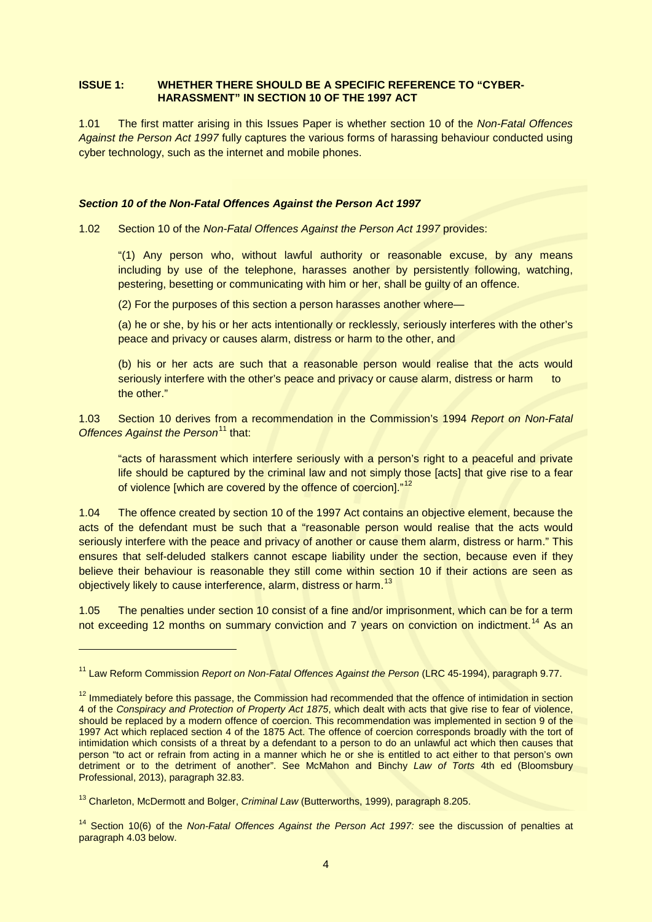## **ISSUE 1: WHETHER THERE SHOULD BE A SPECIFIC REFERENCE TO "CYBER-HARASSMENT" IN SECTION 10 OF THE 1997 ACT**

1.01 The first matter arising in this Issues Paper is whether section 10 of the *Non-Fatal Offences Against the Person Act 1997* fully captures the various forms of harassing behaviour conducted using cyber technology, such as the internet and mobile phones.

#### *Section 10 of the Non-Fatal Offences Against the Person Act 1997*

1.02 Section 10 of the *Non-Fatal Offences Against the Person Act 1997* provides:

"(1) Any person who, without lawful authority or reasonable excuse, by any means including by use of the telephone, harasses another by persistently following, watching, pestering, besetting or communicating with him or her, shall be guilty of an offence.

(2) For the purposes of this section a person harasses another where—

(a) he or she, by his or her acts intentionally or recklessly, seriously interferes with the other's peace and privacy or causes alarm, distress or harm to the other, and

(b) his or her acts are such that a reasonable person would realise that the acts would seriously interfere with the other's peace and privacy or cause alarm, distress or harm to the other."

1.03 Section 10 derives from a recommendation in the Commission's 1994 *Report on Non-Fatal Offences Against the Person***<sup>[11](#page-3-0)</sup> that:** 

"acts of harassment which interfere seriously with a person's right to a peaceful and private life should be captured by the criminal law and not simply those [acts] that give rise to a fear of violence [which are covered by the offence of coercion]."<sup>[12](#page-3-1)</sup>

1.04 The offence created by section 10 of the 1997 Act contains an objective element, because the acts of the defendant must be such that a "reasonable person would realise that the acts would seriously interfere with the peace and privacy of another or cause them alarm, distress or harm." This ensures that self-deluded stalkers cannot escape liability under the section, because even if they believe their behaviour is reasonable they still come within section 10 if their actions are seen as objectively likely to cause interference, alarm, distress or harm.<sup>[13](#page-3-2)</sup>

1.05 The penalties under section 10 consist of a fine and/or imprisonment, which can be for a term not exceeding 12 months on summary conviction and 7 years on conviction on indictment.<sup>[14](#page-3-3)</sup> As an

<span id="page-3-0"></span><sup>11</sup> Law Reform Commission *Report on Non-Fatal Offences Against the Person* (LRC 45-1994), paragraph 9.77.

<span id="page-3-1"></span><sup>&</sup>lt;sup>12</sup> Immediately before this passage, the Commission had recommended that the offence of intimidation in section 4 of the *Conspiracy and Protection of Property Act 1875*, which dealt with acts that give rise to fear of violence, should be replaced by a modern offence of coercion. This recommendation was implemented in section 9 of the 1997 Act which replaced section 4 of the 1875 Act. The offence of coercion corresponds broadly with the tort of intimidation which consists of a threat by a defendant to a person to do an unlawful act which then causes that person "to act or refrain from acting in a manner which he or she is entitled to act either to that person's own detriment or to the detriment of another". See McMahon and Binchy *Law of Torts* 4th ed (Bloomsbury Professional, 2013), paragraph 32.83.

<span id="page-3-2"></span><sup>13</sup> Charleton, McDermott and Bolger, *Criminal Law* (Butterworths, 1999), paragraph 8.205.

<span id="page-3-3"></span><sup>&</sup>lt;sup>14</sup> Section 10(6) of the *Non-Fatal Offences Against the Person Act 1997:* see the discussion of penalties at paragraph 4.03 below.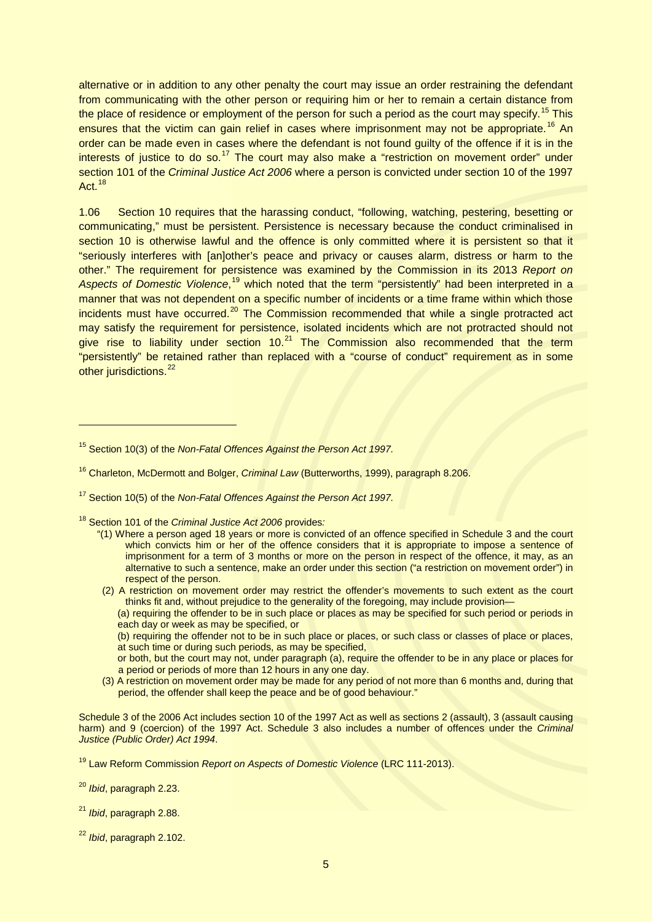alternative or in addition to any other penalty the court may issue an order restraining the defendant from communicating with the other person or requiring him or her to remain a certain distance from the place of residence or employment of the person for such a period as the court may specify.<sup>[15](#page-4-0)</sup> This ensures that the victim can gain relief in cases where imprisonment may not be appropriate.<sup>[16](#page-4-1)</sup> An order can be made even in cases where the defendant is not found guilty of the offence if it is in the interests of justice to do so.<sup>[17](#page-4-2)</sup> The court may also make a "restriction on movement order" under section 101 of the *Criminal Justice Act 2006* where a person is convicted under section 10 of the 1997 Act.<sup>[18](#page-4-3)</sup>

1.06 Section 10 requires that the harassing conduct, "following, watching, pestering, besetting or communicating," must be persistent. Persistence is necessary because the conduct criminalised in section 10 is otherwise lawful and the offence is only committed where it is persistent so that it "seriously interferes with [an]other's peace and privacy or causes alarm, distress or harm to the other." The requirement for persistence was examined by the Commission in its 2013 *Report on*  Aspects of Domestic Violence,<sup>[19](#page-4-4)</sup> which noted that the term "persistently" had been interpreted in a manner that was not dependent on a specific number of incidents or a time frame within which those incidents must have occurred.<sup>[20](#page-4-5)</sup> The Commission recommended that while a single protracted act may satisfy the requirement for persistence, isolated incidents which are not protracted should not give rise to liability under section  $10<sup>21</sup>$  $10<sup>21</sup>$  $10<sup>21</sup>$  The Commission also recommended that the term "persistently" be retained rather than replaced with a "course of conduct" requirement as in some other jurisdictions.<sup>[22](#page-4-7)</sup>

- <span id="page-4-3"></span><sup>18</sup> Section 101 of the *Criminal Justice Act 2006* provides*:*
	- "(1) Where a person aged 18 years or more is convicted of an offence specified in Schedule 3 and the court which convicts him or her of the offence considers that it is appropriate to impose a sentence of imprisonment for a term of 3 months or more on the person in respect of the offence, it may, as an alternative to such a sentence, make an order under this section ("a restriction on movement order") in respect of the person.
	- (2) A restriction on movement order may restrict the offender's movements to such extent as the court thinks fit and, without prejudice to the generality of the foregoing, may include provision—

(a) requiring the offender to be in such place or places as may be specified for such period or periods in each day or week as may be specified, or

(b) requiring the offender not to be in such place or places, or such class or classes of place or places, at such time or during such periods, as may be specified,

- or both, but the court may not, under paragraph (a), require the offender to be in any place or places for a period or periods of more than 12 hours in any one day.
- (3) A restriction on movement order may be made for any period of not more than 6 months and, during that period, the offender shall keep the peace and be of good behaviour."

Schedule 3 of the 2006 Act includes section 10 of the 1997 Act as well as sections 2 (assault), 3 (assault causing harm) and 9 (coercion) of the 1997 Act. Schedule 3 also includes a number of offences under the *Criminal Justice (Public Order) Act 1994*.

<span id="page-4-0"></span><sup>15</sup> Section 10(3) of the *Non-Fatal Offences Against the Person Act 1997.*

<span id="page-4-1"></span><sup>16</sup> Charleton, McDermott and Bolger, *Criminal Law* (Butterworths, 1999), paragraph 8.206.

<span id="page-4-2"></span><sup>17</sup> Section 10(5) of the *Non-Fatal Offences Against the Person Act 1997.*

<span id="page-4-4"></span><sup>19</sup> Law Reform Commission *Report on Aspects of Domestic Violence* (LRC 111-2013).

<span id="page-4-5"></span><sup>20</sup> *Ibid*, paragraph 2.23.

<span id="page-4-6"></span><sup>21</sup> *Ibid*, paragraph 2.88.

<span id="page-4-7"></span><sup>22</sup> *Ibid*, paragraph 2.102.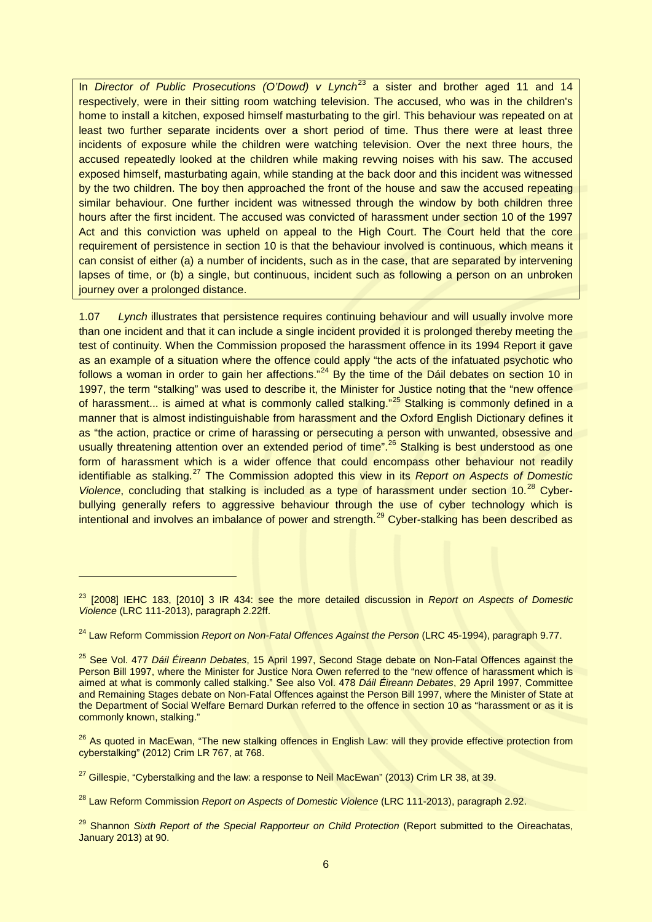In *Director of Public Prosecutions (O'Dowd) v Lynch*<sup>[23](#page-5-0)</sup> a sister and brother aged 11 and 14 respectively, were in their sitting room watching television. The accused, who was in the children's home to install a kitchen, exposed himself masturbating to the girl. This behaviour was repeated on at least two further separate incidents over a short period of time. Thus there were at least three incidents of exposure while the children were watching television. Over the next three hours, the accused repeatedly looked at the children while making revving noises with his saw. The accused exposed himself, masturbating again, while standing at the back door and this incident was witnessed by the two children. The boy then approached the front of the house and saw the accused repeating similar behaviour. One further incident was witnessed through the window by both children three hours after the first incident. The accused was convicted of harassment under section 10 of the 1997 Act and this conviction was upheld on appeal to the High Court. The Court held that the core requirement of persistence in section 10 is that the behaviour involved is continuous, which means it can consist of either (a) a number of incidents, such as in the case, that are separated by intervening lapses of time, or (b) a single, but continuous, incident such as following a person on an unbroken journey over a prolonged distance.

1.07 *Lynch* illustrates that persistence requires continuing behaviour and will usually involve more than one incident and that it can include a single incident provided it is prolonged thereby meeting the test of continuity. When the Commission proposed the harassment offence in its 1994 Report it gave as an example of a situation where the offence could apply "the acts of the infatuated psychotic who follows a woman in order to gain her affections."<sup>[24](#page-5-1)</sup> By the time of the Dáil debates on section 10 in 1997, the term "stalking" was used to describe it, the Minister for Justice noting that the "new offence of harassment... is aimed at what is commonly called stalking."<sup>[25](#page-5-2)</sup> Stalking is commonly defined in a manner that is almost indistinguishable from harassment and the Oxford English Dictionary defines it as "the action, practice or crime of harassing or persecuting a person with unwanted, obsessive and usually threatening attention over an extended period of time".<sup>[26](#page-5-3)</sup> Stalking is best understood as one form of harassment which is a wider offence that could encompass other behaviour not readily identifiable as stalking.<sup>[27](#page-5-4)</sup> The Commission adopted this view in its *Report on Aspects of Domestic Violence*, concluding that stalking is included as a type of harassment under section 10.<sup>[28](#page-5-5)</sup> Cyberbullying generally refers to aggressive behaviour through the use of cyber technology which is intentional and involves an imbalance of power and strength.<sup>[29](#page-5-6)</sup> Cyber-stalking has been described as

<span id="page-5-0"></span><sup>23</sup> [2008] IEHC 183, [2010] 3 IR 434: see the more detailed discussion in *Report on Aspects of Domestic Violence* (LRC 111-2013), paragraph 2.22ff.

<span id="page-5-1"></span><sup>24</sup> Law Reform Commission *Report on Non-Fatal Offences Against the Person* (LRC 45-1994), paragraph 9.77.

<span id="page-5-2"></span><sup>25</sup> See Vol. 477 *Dáil Éireann Debates*, 15 April 1997, Second Stage debate on Non-Fatal Offences against the Person Bill 1997, where the Minister for Justice Nora Owen referred to the "new offence of harassment which is aimed at what is commonly called stalking." See also Vol. 478 *Dáil Éireann Debates*, 29 April 1997, Committee and Remaining Stages debate on Non-Fatal Offences against the Person Bill 1997, where the Minister of State at the Department of Social Welfare Bernard Durkan referred to the offence in section 10 as "harassment or as it is commonly known, stalking."

<span id="page-5-3"></span><sup>&</sup>lt;sup>26</sup> As quoted in MacEwan, "The new stalking offences in English Law: will they provide effective protection from cyberstalking" (2012) Crim LR 767, at 768.

<span id="page-5-4"></span> $27$  Gillespie, "Cyberstalking and the law: a response to Neil MacEwan" (2013) Crim LR 38, at 39.

<span id="page-5-5"></span><sup>28</sup> Law Reform Commission *Report on Aspects of Domestic Violence* (LRC 111-2013), paragraph 2.92.

<span id="page-5-6"></span><sup>&</sup>lt;sup>29</sup> Shannon *Sixth Report of the Special Rapporteur on Child Protection* (Report submitted to the Oireachatas, January 2013) at 90.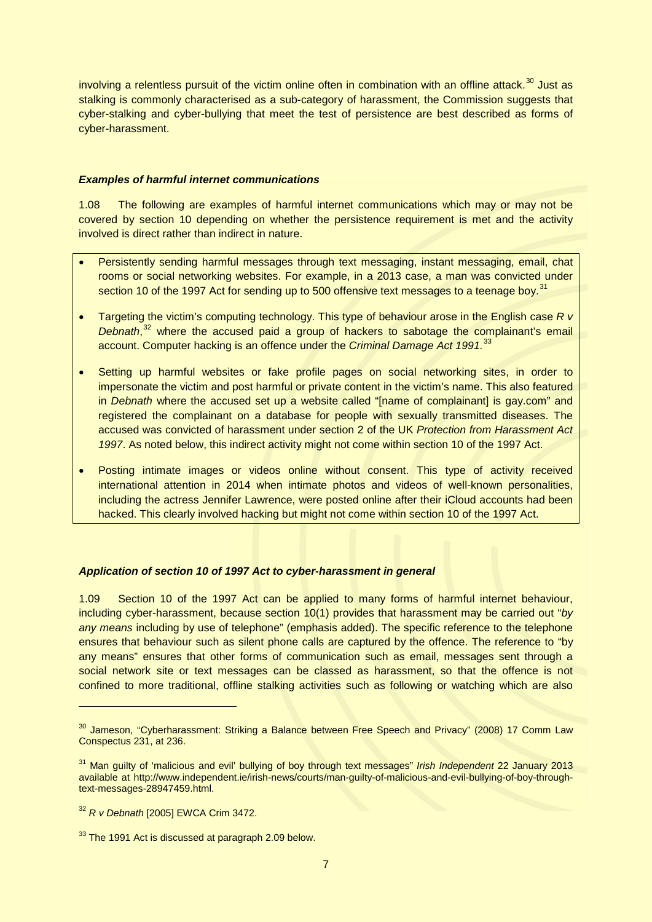involving a relentless pursuit of the victim online often in combination with an offline attack.<sup>[30](#page-6-0)</sup> Just as stalking is commonly characterised as a sub-category of harassment, the Commission suggests that cyber-stalking and cyber-bullying that meet the test of persistence are best described as forms of cyber-harassment.

## *Examples of harmful internet communications*

1.08 The following are examples of harmful internet communications which may or may not be covered by section 10 depending on whether the persistence requirement is met and the activity involved is direct rather than indirect in nature.

- Persistently sending harmful messages through text messaging, instant messaging, email, chat rooms or social networking websites. For example, in a 2013 case, a man was convicted under section 10 of the 1997 Act for sending up to 500 offensive text messages to a teenage boy.<sup>[31](#page-6-1)</sup>
- Targeting the victim's computing technology. This type of behaviour arose in the English case *R v Debnath*, [32](#page-6-2) where the accused paid a group of hackers to sabotage the complainant's email account. Computer hacking is an offence under the *Criminal Damage Act 1991*.<sup>[33](#page-6-3)</sup>
- Setting up harmful websites or fake profile pages on social networking sites, in order to impersonate the victim and post harmful or private content in the victim's name. This also featured in *Debnath* where the accused set up a website called "[name of complainant] is gay.com" and registered the complainant on a database for people with sexually transmitted diseases. The accused was convicted of harassment under section 2 of the UK *Protection from Harassment Act 1997*. As noted below, this indirect activity might not come within section 10 of the 1997 Act.
- Posting intimate images or videos online without consent. This type of activity received international attention in 2014 when intimate photos and videos of well-known personalities, including the actress Jennifer Lawrence, were posted online after their iCloud accounts had been hacked. This clearly involved hacking but might not come within section 10 of the 1997 Act.

# *Application of section 10 of 1997 Act to cyber-harassment in general*

1.09 Section 10 of the 1997 Act can be applied to many forms of harmful internet behaviour, including cyber-harassment, because section 10(1) provides that harassment may be carried out "*by any means* including by use of telephone" (emphasis added). The specific reference to the telephone ensures that behaviour such as silent phone calls are captured by the offence. The reference to "by any means" ensures that other forms of communication such as email, messages sent through a social network site or text messages can be classed as harassment, so that the offence is not confined to more traditional, offline stalking activities such as following or watching which are also

<span id="page-6-0"></span><sup>&</sup>lt;sup>30</sup> Jameson, "Cyberharassment: Striking a Balance between Free Speech and Privacy" (2008) 17 Comm Law Conspectus 231, at 236.

<span id="page-6-1"></span><sup>31</sup> Man guilty of 'malicious and evil' bullying of boy through text messages" *Irish Independent* 22 January 2013 available at http://www.independent.ie/irish-news/courts/man-guilty-of-malicious-and-evil-bullying-of-boy-throughtext-messages-28947459.html.

<span id="page-6-2"></span><sup>32</sup> *R v Debnath* [2005] EWCA Crim 3472.

<span id="page-6-3"></span> $33$  The 1991 Act is discussed at paragraph 2.09 below.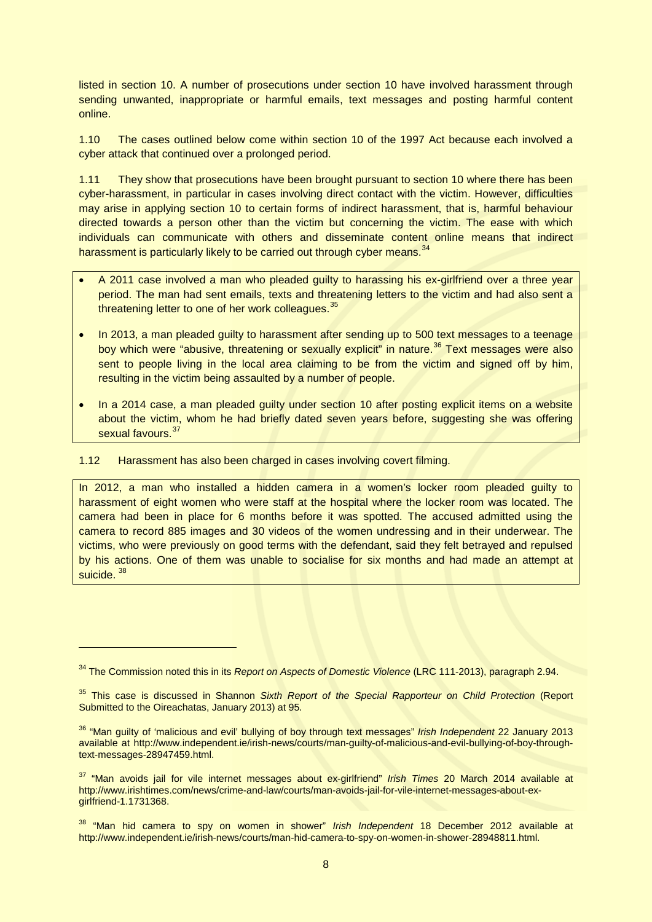listed in section 10. A number of prosecutions under section 10 have involved harassment through sending unwanted, inappropriate or harmful emails, text messages and posting harmful content online.

1.10 The cases outlined below come within section 10 of the 1997 Act because each involved a cyber attack that continued over a prolonged period.

1.11 They show that prosecutions have been brought pursuant to section 10 where there has been cyber-harassment, in particular in cases involving direct contact with the victim. However, difficulties may arise in applying section 10 to certain forms of indirect harassment, that is, harmful behaviour directed towards a person other than the victim but concerning the victim. The ease with which individuals can communicate with others and disseminate content online means that indirect harassment is particularly likely to be carried out through cyber means.<sup>[34](#page-7-0)</sup>

- A 2011 case involved a man who pleaded guilty to harassing his ex-girlfriend over a three year period. The man had sent emails, texts and threatening letters to the victim and had also sent a threatening letter to one of her work colleagues.<sup>[35](#page-7-1)</sup>
- In 2013, a man pleaded guilty to harassment after sending up to 500 text messages to a teenage boy which were "abusive, threatening or sexually explicit" in nature.<sup>[36](#page-7-2)</sup> Text messages were also sent to people living in the local area claiming to be from the victim and signed off by him, resulting in the victim being assaulted by a number of people.
- In a 2014 case, a man pleaded guilty under section 10 after posting explicit items on a website about the victim, whom he had briefly dated seven years before, suggesting she was offering sexual favours.<sup>[37](#page-7-3)</sup>
- 1.12 Harassment has also been charged in cases involving covert filming.

-

In 2012, a man who installed a hidden camera in a women's locker room pleaded guilty to harassment of eight women who were staff at the hospital where the locker room was located. The camera had been in place for 6 months before it was spotted. The accused admitted using the camera to record 885 images and 30 videos of the women undressing and in their underwear. The victims, who were previously on good terms with the defendant, said they felt betrayed and repulsed by his actions. One of them was unable to socialise for six months and had made an attempt at suicide. [38](#page-7-4)

<span id="page-7-0"></span><sup>34</sup> The Commission noted this in its *Report on Aspects of Domestic Violence* (LRC 111-2013), paragraph 2.94.

<span id="page-7-1"></span><sup>35</sup> This case is discussed in Shannon *Sixth Report of the Special Rapporteur on Child Protection* (Report Submitted to the Oireachatas, January 2013) at 95*.*

<span id="page-7-2"></span><sup>36</sup> "Man guilty of 'malicious and evil' bullying of boy through text messages" *Irish Independent* 22 January 2013 available at http://www.independent.ie/irish-news/courts/man-guilty-of-malicious-and-evil-bullying-of-boy-throughtext-messages-28947459.html.

<span id="page-7-3"></span><sup>37</sup> "Man avoids jail for vile internet messages about ex-girlfriend" *Irish Times* 20 March 2014 available at http://www.irishtimes.com/news/crime-and-law/courts/man-avoids-jail-for-vile-internet-messages-about-exgirlfriend-1.1731368.

<span id="page-7-4"></span><sup>38</sup> "Man hid camera to spy on women in shower" *Irish Independent* 18 December 2012 available at http://www.independent.ie/irish-news/courts/man-hid-camera-to-spy-on-women-in-shower-28948811.html.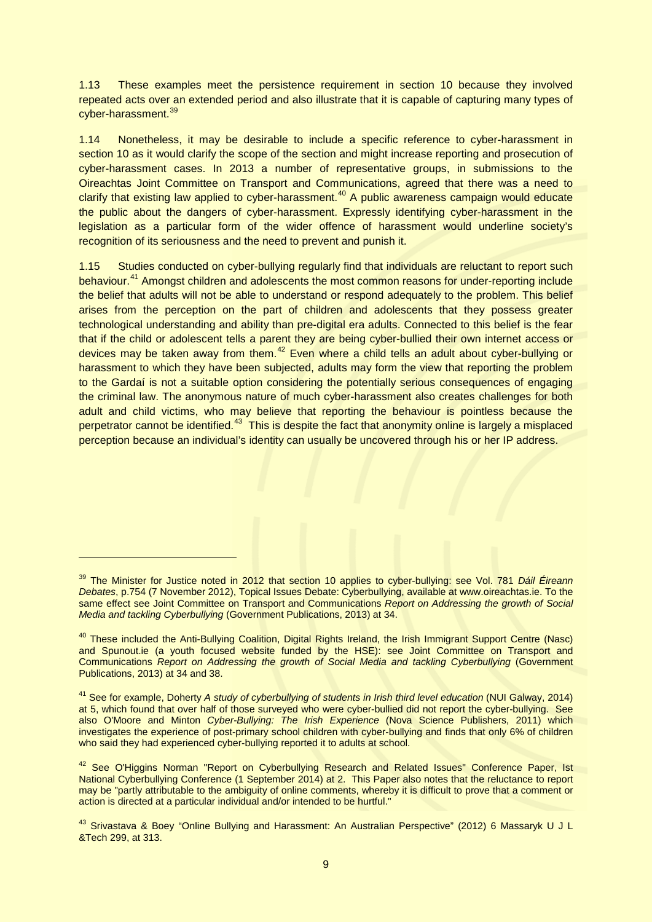1.13 These examples meet the persistence requirement in section 10 because they involved repeated acts over an extended period and also illustrate that it is capable of capturing many types of cyber-harassment.<sup>[39](#page-8-0)</sup>

1.14 Nonetheless, it may be desirable to include a specific reference to cyber-harassment in section 10 as it would clarify the scope of the section and might increase reporting and prosecution of cyber-harassment cases. In 2013 a number of representative groups, in submissions to the Oireachtas Joint Committee on Transport and Communications, agreed that there was a need to clarify that existing law applied to cyber-harassment.<sup>[40](#page-8-1)</sup> A public awareness campaign would educate the public about the dangers of cyber-harassment. Expressly identifying cyber-harassment in the legislation as a particular form of the wider offence of harassment would underline society's recognition of its seriousness and the need to prevent and punish it.

1.15 Studies conducted on cyber-bullying regularly find that individuals are reluctant to report such behaviour.[41](#page-8-2) Amongst children and adolescents the most common reasons for under-reporting include the belief that adults will not be able to understand or respond adequately to the problem. This belief arises from the perception on the part of children and adolescents that they possess greater technological understanding and ability than pre-digital era adults. Connected to this belief is the fear that if the child or adolescent tells a parent they are being cyber-bullied their own internet access or devices may be taken away from them.<sup>[42](#page-8-3)</sup> Even where a child tells an adult about cyber-bullying or harassment to which they have been subjected, adults may form the view that reporting the problem to the Gardaí is not a suitable option considering the potentially serious consequences of engaging the criminal law. The anonymous nature of much cyber-harassment also creates challenges for both adult and child victims, who may believe that reporting the behaviour is pointless because the perpetrator cannot be identified.<sup>[43](#page-8-4)</sup> This is despite the fact that anonymity online is largely a misplaced perception because an individual's identity can usually be uncovered through his or her IP address.

<span id="page-8-0"></span><sup>39</sup> The Minister for Justice noted in 2012 that section 10 applies to cyber-bullying: see Vol. 781 *Dáil Éireann Debates*, p.754 (7 November 2012), Topical Issues Debate: Cyberbullying, available at www.oireachtas.ie. To the same effect see Joint Committee on Transport and Communications *Report on Addressing the growth of Social Media and tackling Cyberbullying* (Government Publications, 2013) at 34.

<span id="page-8-1"></span><sup>&</sup>lt;sup>40</sup> These included the Anti-Bullying Coalition, Digital Rights Ireland, the Irish Immigrant Support Centre (Nasc) and Spunout.ie (a youth focused website funded by the HSE): see Joint Committee on Transport and Communications *Report on Addressing the growth of Social Media and tackling Cyberbullying (Government* Publications, 2013) at 34 and 38.

<span id="page-8-2"></span><sup>41</sup> See for example, Doherty *A study of cyberbullying of students in Irish third level education* (NUI Galway, 2014) at 5, which found that over half of those surveyed who were cyber-bullied did not report the cyber-bullying. See also O'Moore and Minton *Cyber-Bullying: The Irish Experience* (Nova Science Publishers, 2011) which investigates the experience of post-primary school children with cyber-bullying and finds that only 6% of children who said they had experienced cyber-bullying reported it to adults at school.

<span id="page-8-3"></span><sup>&</sup>lt;sup>42</sup> See O'Higgins Norman "Report on Cyberbullying Research and Related Issues" Conference Paper, Ist National Cyberbullying Conference (1 September 2014) at 2. This Paper also notes that the reluctance to report may be "partly attributable to the ambiguity of online comments, whereby it is difficult to prove that a comment or action is directed at a particular individual and/or intended to be hurtful."

<span id="page-8-4"></span><sup>&</sup>lt;sup>43</sup> Srivastava & Boey "Online Bullying and Harassment: An Australian Perspective" (2012) 6 Massaryk U J L &Tech 299, at 313.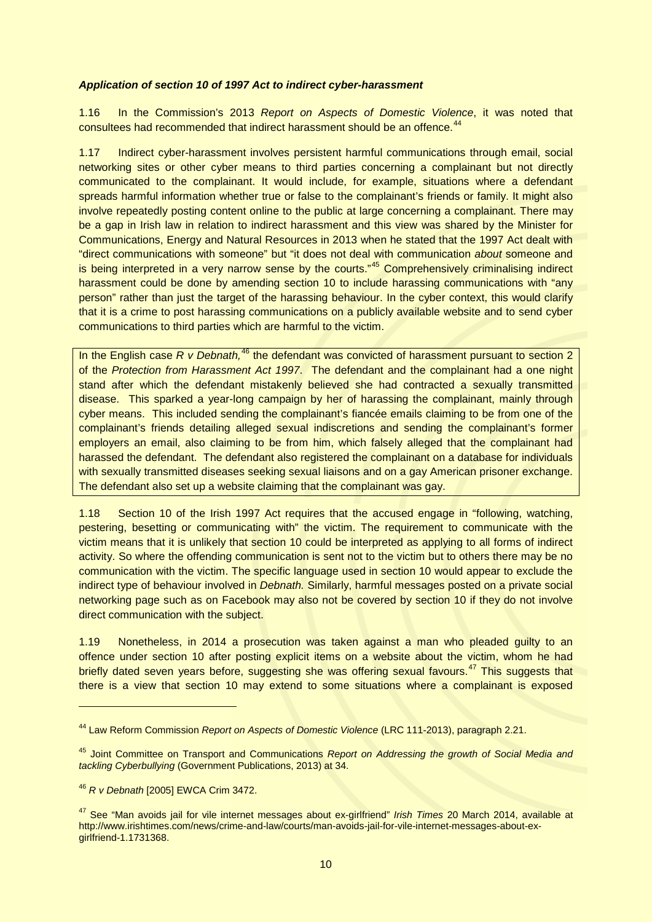#### *Application of section 10 of 1997 Act to indirect cyber-harassment*

1.16 In the Commission's 2013 *Report on Aspects of Domestic Violence*, it was noted that consultees had recommended that indirect harassment should be an offence.<sup>44</sup>

1.17 Indirect cyber-harassment involves persistent harmful communications through email, social networking sites or other cyber means to third parties concerning a complainant but not directly communicated to the complainant. It would include, for example, situations where a defendant spreads harmful information whether true or false to the complainant's friends or family. It might also involve repeatedly posting content online to the public at large concerning a complainant. There may be a gap in Irish law in relation to indirect harassment and this view was shared by the Minister for Communications, Energy and Natural Resources in 2013 when he stated that the 1997 Act dealt with "direct communications with someone" but "it does not deal with communication *about* someone and is being interpreted in a very narrow sense by the courts."<sup>[45](#page-9-1)</sup> Comprehensively criminalising indirect harassment could be done by amending section 10 to include harassing communications with "any person" rather than just the target of the harassing behaviour. In the cyber context, this would clarify that it is a crime to post harassing communications on a publicly available website and to send cyber communications to third parties which are harmful to the victim.

In the English case R v Debnath,<sup>[46](#page-9-2)</sup> the defendant was convicted of harassment pursuant to section 2 of the *Protection from Harassment Act 1997*. The defendant and the complainant had a one night stand after which the defendant mistakenly believed she had contracted a sexually transmitted disease. This sparked a year-long campaign by her of harassing the complainant, mainly through cyber means. This included sending the complainant's fiancée emails claiming to be from one of the complainant's friends detailing alleged sexual indiscretions and sending the complainant's former employers an email, also claiming to be from him, which falsely alleged that the complainant had harassed the defendant. The defendant also registered the complainant on a database for individuals with sexually transmitted diseases seeking sexual liaisons and on a gay American prisoner exchange. The defendant also set up a website claiming that the complainant was gay.

1.18 Section 10 of the Irish 1997 Act requires that the accused engage in "following, watching, pestering, besetting or communicating with" the victim. The requirement to communicate with the victim means that it is unlikely that section 10 could be interpreted as applying to all forms of indirect activity. So where the offending communication is sent not to the victim but to others there may be no communication with the victim. The specific language used in section 10 would appear to exclude the indirect type of behaviour involved in *Debnath.* Similarly, harmful messages posted on a private social networking page such as on Facebook may also not be covered by section 10 if they do not involve direct communication with the subject.

1.19 Nonetheless, in 2014 a prosecution was taken against a man who pleaded guilty to an offence under section 10 after posting explicit items on a website about the victim, whom he had briefly dated seven years before, suggesting she was offering sexual favours.<sup>[47](#page-9-3)</sup> This suggests that there is a view that section 10 may extend to some situations where a complainant is exposed

<span id="page-9-0"></span><sup>44</sup> Law Reform Commission *Report on Aspects of Domestic Violence* (LRC 111-2013), paragraph 2.21.

<span id="page-9-1"></span><sup>45</sup> Joint Committee on Transport and Communications *Report on Addressing the growth of Social Media and tackling Cyberbullying* (Government Publications, 2013) at 34.

<span id="page-9-2"></span><sup>46</sup> *R v Debnath* [2005] EWCA Crim 3472.

<span id="page-9-3"></span><sup>47</sup> See "Man avoids jail for vile internet messages about ex-girlfriend" *Irish Times* 20 March 2014, available at http://www.irishtimes.com/news/crime-and-law/courts/man-avoids-jail-for-vile-internet-messages-about-exgirlfriend-1.1731368.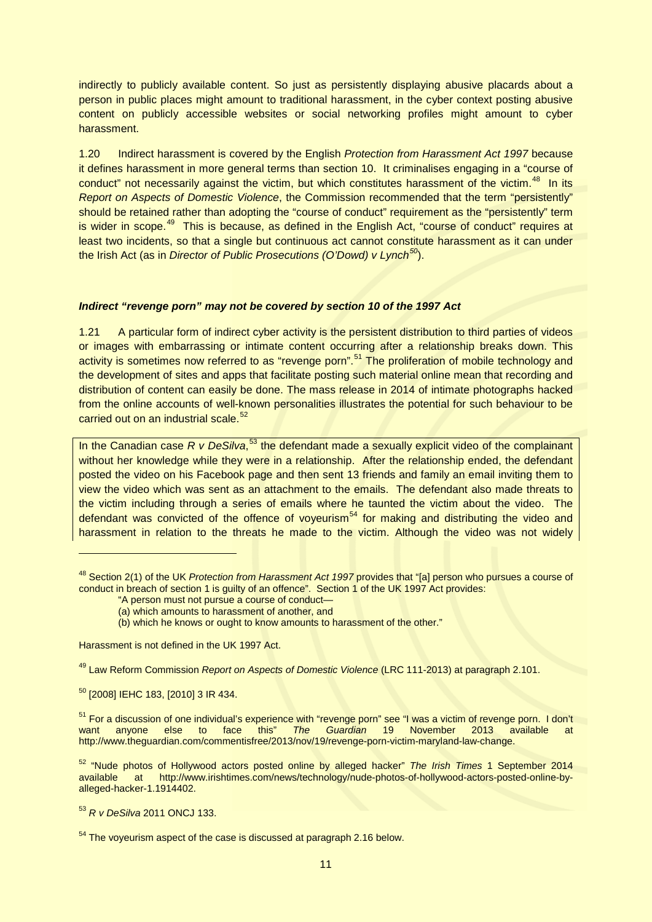indirectly to publicly available content. So just as persistently displaying abusive placards about a person in public places might amount to traditional harassment, in the cyber context posting abusive content on publicly accessible websites or social networking profiles might amount to cyber harassment.

1.20 Indirect harassment is covered by the English *Protection from Harassment Act 1997* because it defines harassment in more general terms than section 10. It criminalises engaging in a "course of conduct" not necessarily against the victim, but which constitutes harassment of the victim.<sup>[48](#page-10-0)</sup> In its *Report on Aspects of Domestic Violence*, the Commission recommended that the term "persistently" should be retained rather than adopting the "course of conduct" requirement as the "persistently" term is wider in scope.<sup>49</sup> This is because, as defined in the English Act, "course of conduct" requires at least two incidents, so that a single but continuous act cannot constitute harassment as it can under the Irish Act (as in *Director of Public Prosecutions (O'Dowd) v Lynch[50](#page-10-2)*).

### *Indirect "revenge porn" may not be covered by section 10 of the 1997 Act*

1.21 A particular form of indirect cyber activity is the persistent distribution to third parties of videos or images with embarrassing or intimate content occurring after a relationship breaks down. This activity is sometimes now referred to as "revenge porn".<sup>[51](#page-10-3)</sup> The proliferation of mobile technology and the development of sites and apps that facilitate posting such material online mean that recording and distribution of content can easily be done. The mass release in 2014 of intimate photographs hacked from the online accounts of well-known personalities illustrates the potential for such behaviour to be carried out on an industrial scale.<sup>[52](#page-10-4)</sup>

In the Canadian case *R v DeSilva*,<sup>[53](#page-10-5)</sup> the defendant made a sexually explicit video of the complainant without her knowledge while they were in a relationship. After the relationship ended, the defendant posted the video on his Facebook page and then sent 13 friends and family an email inviting them to view the video which was sent as an attachment to the emails. The defendant also made threats to the victim including through a series of emails where he taunted the victim about the video. The defendant was convicted of the offence of voyeurism<sup>[54](#page-10-6)</sup> for making and distributing the video and harassment in relation to the threats he made to the victim. Although the video was not widely

Harassment is not defined in the UK 1997 Act.

<span id="page-10-1"></span><sup>49</sup> Law Reform Commission *Report on Aspects of Domestic Violence* (LRC 111-2013) at paragraph 2.101.

<span id="page-10-2"></span><sup>50</sup> [2008] IEHC 183, [2010] 3 IR 434.

-

<span id="page-10-3"></span> $51$  For a discussion of one individual's experience with "revenge porn" see "I was a victim of revenge porn. I don't want anyone else to face this" The Guardian 19 November 2013 available at want anyone else to face this" *The Guardian* 19 November 2013 available at http://www.theguardian.com/commentisfree/2013/nov/19/revenge-porn-victim-maryland-law-change.

<span id="page-10-4"></span><sup>52</sup> "Nude photos of Hollywood actors posted online by alleged hacker" *The Irish Times* 1 September 2014 available at http://www.irishtimes.com/news/technology/nude-photos-of-hollywood-actors-posted-online-byalleged-hacker-1.1914402.

<span id="page-10-5"></span><sup>53</sup> *R v DeSilva* 2011 ONCJ 133.

<span id="page-10-0"></span><sup>48</sup> Section 2(1) of the UK *Protection from Harassment Act 1997* provides that "[a] person who pursues a course of conduct in breach of section 1 is guilty of an offence". Section 1 of the UK 1997 Act provides:

<sup>&</sup>quot;A person must not pursue a course of conduct—

<sup>(</sup>a) which amounts to harassment of another, and

<sup>(</sup>b) which he knows or ought to know amounts to harassment of the other."

<span id="page-10-6"></span> $54$  The voveurism aspect of the case is discussed at paragraph 2.16 below.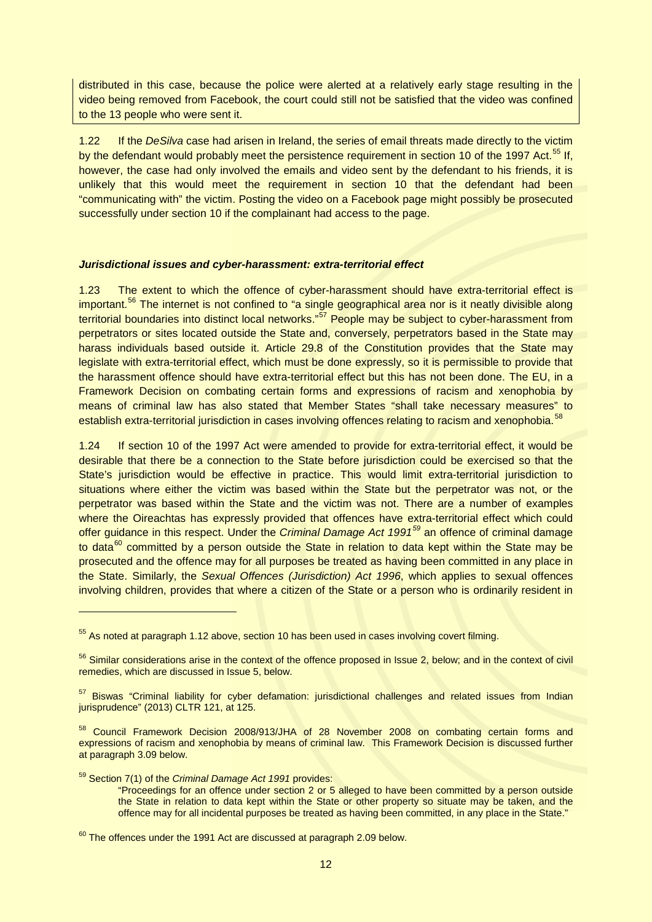distributed in this case, because the police were alerted at a relatively early stage resulting in the video being removed from Facebook, the court could still not be satisfied that the video was confined to the 13 people who were sent it.

1.22 If the *DeSilva* case had arisen in Ireland, the series of email threats made directly to the victim by the defendant would probably meet the persistence requirement in section 10 of the 1997 Act.<sup>[55](#page-11-0)</sup> If, however, the case had only involved the emails and video sent by the defendant to his friends, it is unlikely that this would meet the requirement in section 10 that the defendant had been "communicating with" the victim. Posting the video on a Facebook page might possibly be prosecuted successfully under section 10 if the complainant had access to the page.

### *Jurisdictional issues and cyber-harassment: extra-territorial effect*

1.23 The extent to which the offence of cyber-harassment should have extra-territorial effect is important.<sup>[56](#page-11-1)</sup> The internet is not confined to "a single geographical area nor is it neatly divisible along territorial boundaries into distinct local networks."<sup>[57](#page-11-2)</sup> People may be subject to cyber-harassment from perpetrators or sites located outside the State and, conversely, perpetrators based in the State may harass individuals based outside it. Article 29.8 of the Constitution provides that the State may legislate with extra-territorial effect, which must be done expressly, so it is permissible to provide that the harassment offence should have extra-territorial effect but this has not been done. The EU, in a Framework Decision on combating certain forms and expressions of racism and xenophobia by means of criminal law has also stated that Member States "shall take necessary measures" to establish extra-territorial jurisdiction in cases involving offences relating to racism and xenophobia.<sup>[58](#page-11-3)</sup>

1.24 If section 10 of the 1997 Act were amended to provide for extra-territorial effect, it would be desirable that there be a connection to the State before jurisdiction could be exercised so that the State's jurisdiction would be effective in practice. This would limit extra-territorial jurisdiction to situations where either the victim was based within the State but the perpetrator was not, or the perpetrator was based within the State and the victim was not. There are a number of examples where the Oireachtas has expressly provided that offences have extra-territorial effect which could offer guidance in this respect. Under the *Criminal Damage Act 1991[59](#page-11-4)* an offence of criminal damage to data<sup>[60](#page-11-5)</sup> committed by a person outside the State in relation to data kept within the State may be prosecuted and the offence may for all purposes be treated as having been committed in any place in the State. Similarly, the *Sexual Offences (Jurisdiction) Act 1996*, which applies to sexual offences involving children, provides that where a citizen of the State or a person who is ordinarily resident in

<span id="page-11-4"></span><sup>59</sup> Section 7(1) of the *Criminal Damage Act 1991* provides:

-

"Proceedings for an offence under section 2 or 5 alleged to have been committed by a person outside the State in relation to data kept within the State or other property so situate may be taken, and the offence may for all incidental purposes be treated as having been committed, in any place in the State."

<span id="page-11-0"></span><sup>&</sup>lt;sup>55</sup> As noted at paragraph 1.12 above, section 10 has been used in cases involving covert filming.

<span id="page-11-1"></span><sup>&</sup>lt;sup>56</sup> Similar considerations arise in the context of the offence proposed in Issue 2, below; and in the context of civil remedies, which are discussed in Issue 5, below.

<span id="page-11-2"></span><sup>&</sup>lt;sup>57</sup> Biswas "Criminal liability for cyber defamation: jurisdictional challenges and related issues from Indian jurisprudence" (2013) CLTR 121, at 125.

<span id="page-11-3"></span><sup>58</sup> Council Framework Decision 2008/913/JHA of 28 November 2008 on combating certain forms and expressions of racism and xenophobia by means of criminal law. This Framework Decision is discussed further at paragraph 3.09 below.

<span id="page-11-5"></span> $60$  The offences under the 1991 Act are discussed at paragraph 2.09 below.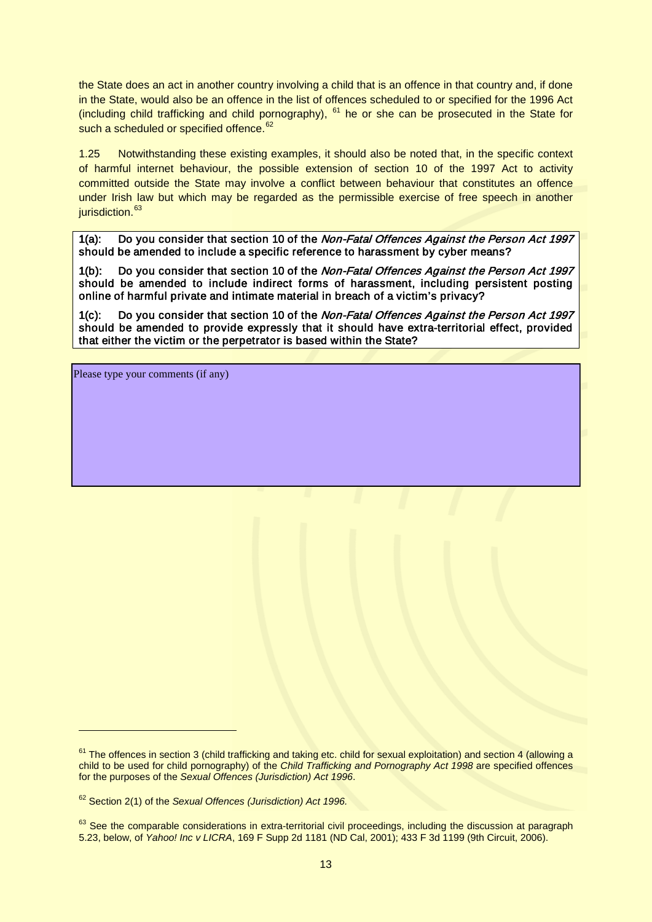the State does an act in another country involving a child that is an offence in that country and, if done in the State, would also be an offence in the list of offences scheduled to or specified for the 1996 Act (including child trafficking and child pornography),  $61$  he or she can be prosecuted in the State for such a scheduled or specified offence.<sup>[62](#page-12-1)</sup>

1.25 Notwithstanding these existing examples, it should also be noted that, in the specific context of harmful internet behaviour, the possible extension of section 10 of the 1997 Act to activity committed outside the State may involve a conflict between behaviour that constitutes an offence under Irish law but which may be regarded as the permissible exercise of free speech in another jurisdiction.<sup>[63](#page-12-2)</sup>

1(a): Do you consider that section 10 of the Non-Fatal Offences Against the Person Act 1997 should be amended to include a specific reference to harassment by cyber means?

1(b): Do you consider that section 10 of the Non-Fatal Offences Against the Person Act 1997 should be amended to include indirect forms of harassment, including persistent posting online of harmful private and intimate material in breach of a victim's privacy?

1(c): Do you consider that section 10 of the Non-Fatal Offences Against the Person Act 1997 should be amended to provide expressly that it should have extra-territorial effect, provided that either the victim or the perpetrator is based within the State?

Please type your comments (if any)

<span id="page-12-0"></span> $61$  The offences in section 3 (child trafficking and taking etc. child for sexual exploitation) and section 4 (allowing a child to be used for child pornography) of the *Child Trafficking and Pornography Act 1998* are specified offences for the purposes of the *Sexual Offences (Jurisdiction) Act 1996*.

<span id="page-12-1"></span><sup>62</sup> Section 2(1) of the *Sexual Offences (Jurisdiction) Act 1996.*

<span id="page-12-2"></span> $63$  See the comparable considerations in extra-territorial civil proceedings, including the discussion at paragraph 5.23, below, of *Yahoo! Inc v LICRA*, 169 F Supp 2d 1181 (ND Cal, 2001); 433 F 3d 1199 (9th Circuit, 2006).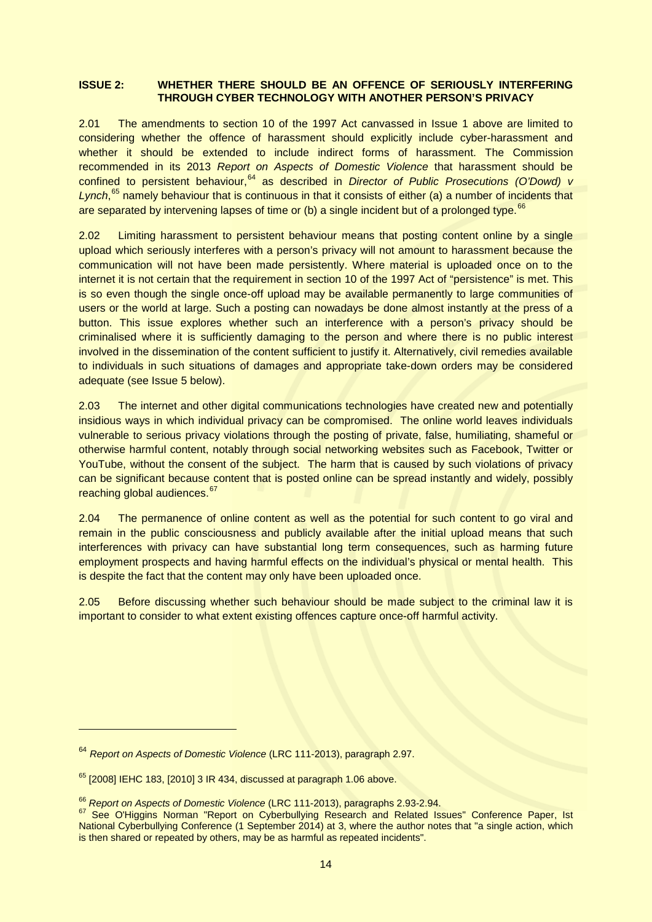### **ISSUE 2: WHETHER THERE SHOULD BE AN OFFENCE OF SERIOUSLY INTERFERING THROUGH CYBER TECHNOLOGY WITH ANOTHER PERSON'S PRIVACY**

2.01 The amendments to section 10 of the 1997 Act canvassed in Issue 1 above are limited to considering whether the offence of harassment should explicitly include cyber-harassment and whether it should be extended to include indirect forms of harassment. The Commission recommended in its 2013 *Report on Aspects of Domestic Violence* that harassment should be confined to persistent behaviour,<sup>[64](#page-13-0)</sup> as described in *Director of Public Prosecutions (O'Dowd) v* Lynch,<sup>[65](#page-13-1)</sup> namely behaviour that is continuous in that it consists of either (a) a number of incidents that are separated by intervening lapses of time or (b) a single incident but of a prolonged type.<sup>[66](#page-13-2)</sup>

2.02 Limiting harassment to persistent behaviour means that posting content online by a single upload which seriously interferes with a person's privacy will not amount to harassment because the communication will not have been made persistently. Where material is uploaded once on to the internet it is not certain that the requirement in section 10 of the 1997 Act of "persistence" is met. This is so even though the single once-off upload may be available permanently to large communities of users or the world at large. Such a posting can nowadays be done almost instantly at the press of a button. This issue explores whether such an interference with a person's privacy should be criminalised where it is sufficiently damaging to the person and where there is no public interest involved in the dissemination of the content sufficient to justify it. Alternatively, civil remedies available to individuals in such situations of damages and appropriate take-down orders may be considered adequate (see Issue 5 below).

2.03 The internet and other digital communications technologies have created new and potentially insidious ways in which individual privacy can be compromised. The online world leaves individuals vulnerable to serious privacy violations through the posting of private, false, humiliating, shameful or otherwise harmful content, notably through social networking websites such as Facebook, Twitter or YouTube, without the consent of the subject. The harm that is caused by such violations of privacy can be significant because content that is posted online can be spread instantly and widely, possibly reaching global audiences.<sup>67</sup>

2.04 The permanence of online content as well as the potential for such content to go viral and remain in the public consciousness and publicly available after the initial upload means that such interferences with privacy can have substantial long term consequences, such as harming future employment prospects and having harmful effects on the individual's physical or mental health. This is despite the fact that the content may only have been uploaded once.

2.05 Before discussing whether such behaviour should be made subject to the criminal law it is important to consider to what extent existing offences capture once-off harmful activity.

<span id="page-13-0"></span><sup>64</sup> *Report on Aspects of Domestic Violence* (LRC 111-2013), paragraph 2.97.

<span id="page-13-1"></span> $65$  [2008] IEHC 183, [2010] 3 IR 434, discussed at paragraph 1.06 above.

<span id="page-13-3"></span><span id="page-13-2"></span><sup>&</sup>lt;sup>66</sup> *Report on Aspects of Domestic Violence* (LRC 111-2013), paragraphs 2.93-2.94.<br><sup>67</sup> See O'Higgins Norman "Report on Cyberbullying Research and Related Issues" Conference Paper, Ist National Cyberbullying Conference (1 September 2014) at 3, where the author notes that "a single action, which is then shared or repeated by others, may be as harmful as repeated incidents".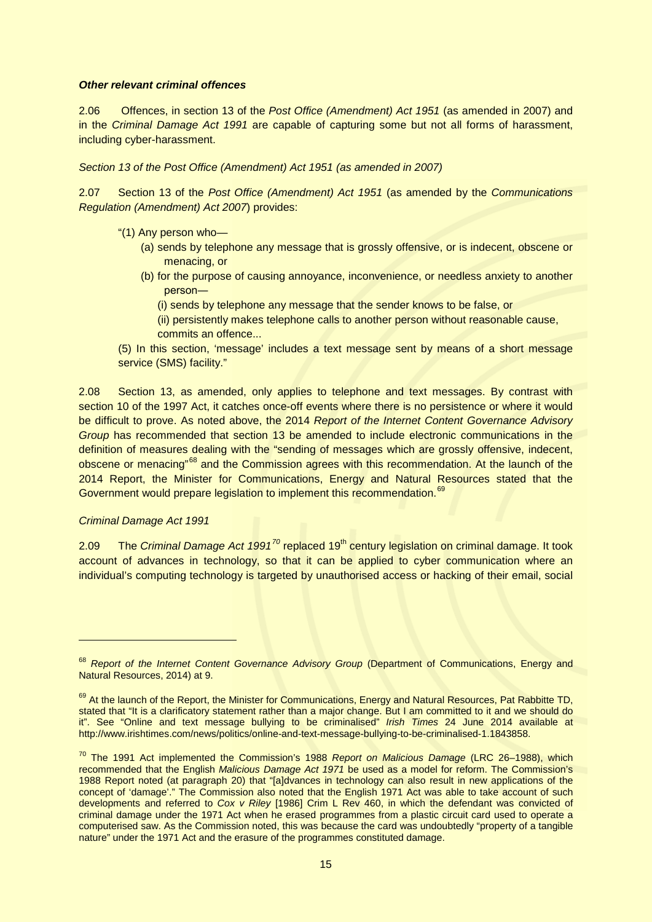### *Other relevant criminal offences*

2.06 Offences, in section 13 of the *Post Office (Amendment) Act 1951* (as amended in 2007) and in the *Criminal Damage Act 1991* are capable of capturing some but not all forms of harassment, including cyber-harassment.

*Section 13 of the Post Office (Amendment) Act 1951 (as amended in 2007)*

2.07 Section 13 of the *Post Office (Amendment) Act 1951* (as amended by the *Communications Regulation (Amendment) Act 2007*) provides:

- "(1) Any person who—
	- (a) sends by telephone any message that is grossly offensive, or is indecent, obscene or menacing, or
	- (b) for the purpose of causing annoyance, inconvenience, or needless anxiety to another person―
		- (i) sends by telephone any message that the sender knows to be false, or
		- (ii) persistently makes telephone calls to another person without reasonable cause, commits an offence...
- (5) In this section, 'message' includes a text message sent by means of a short message service (SMS) facility."

2.08 Section 13, as amended, only applies to telephone and text messages. By contrast with section 10 of the 1997 Act, it catches once-off events where there is no persistence or where it would be difficult to prove. As noted above, the 2014 *Report of the Internet Content Governance Advisory Group* has recommended that section 13 be amended to include electronic communications in the definition of measures dealing with the "sending of messages which are grossly offensive, indecent, obscene or menacing"<sup>[68](#page-14-0)</sup> and the Commission agrees with this recommendation. At the launch of the 2014 Report, the Minister for Communications, Energy and Natural Resources stated that the Government would prepare legislation to implement this recommendation.<sup>[69](#page-14-1)</sup>

#### *Criminal Damage Act 1991*

-

2.09 The *Criminal Damage Act 1991<sup>[70](#page-14-2)</sup>* replaced 19<sup>th</sup> century legislation on criminal damage. It took account of advances in technology, so that it can be applied to cyber communication where an individual's computing technology is targeted by unauthorised access or hacking of their email, social

<span id="page-14-0"></span><sup>&</sup>lt;sup>68</sup> Report of the Internet Content Governance Advisory Group (Department of Communications, Energy and Natural Resources, 2014) at 9.

<span id="page-14-1"></span><sup>69</sup> At the launch of the Report, the Minister for Communications, Energy and Natural Resources, Pat Rabbitte TD, stated that "It is a clarificatory statement rather than a major change. But I am committed to it and we should do it". See "Online and text message bullying to be criminalised" *Irish Times* 24 June 2014 available at http://www.irishtimes.com/news/politics/online-and-text-message-bullying-to-be-criminalised-1.1843858.

<span id="page-14-2"></span><sup>70</sup> The 1991 Act implemented the Commission's 1988 *Report on Malicious Damage* (LRC 26–1988), which recommended that the English *Malicious Damage Act 1971* be used as a model for reform. The Commission's 1988 Report noted (at paragraph 20) that "[a]dvances in technology can also result in new applications of the concept of 'damage'." The Commission also noted that the English 1971 Act was able to take account of such developments and referred to *Cox v Riley* [1986] Crim L Rev 460, in which the defendant was convicted of criminal damage under the 1971 Act when he erased programmes from a plastic circuit card used to operate a computerised saw. As the Commission noted, this was because the card was undoubtedly "property of a tangible nature" under the 1971 Act and the erasure of the programmes constituted damage.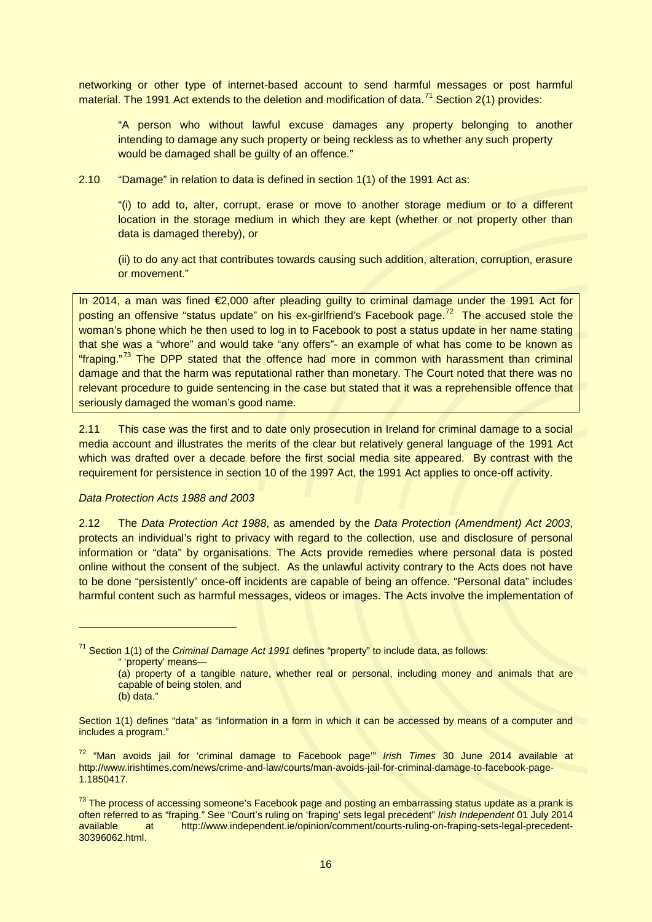networking or other type of internet-based account to send harmful messages or post harmful material. The 1991 Act extends to the deletion and modification of data.<sup>[71](#page-15-0)</sup> Section 2(1) provides:

"A person who without lawful excuse damages any property belonging to another intending to damage any such property or being reckless as to whether any such property would be damaged shall be quilty of an offence."

2.10 "Damage" in relation to data is defined in section 1(1) of the 1991 Act as:

"(i) to add to, alter, corrupt, erase or move to another storage medium or to a different location in the storage medium in which they are kept (whether or not property other than data is damaged thereby), or

(ii) to do any act that contributes towards causing such addition, alteration, corruption, erasure or movement."

In 2014, a man was fined €2,000 after pleading guilty to criminal damage under the 1991 Act for posting an offensive "status update" on his ex-girlfriend's Facebook page.<sup>[72](#page-15-1)</sup> The accused stole the woman's phone which he then used to log in to Facebook to post a status update in her name stating that she was a "whore" and would take "any offers"- an example of what has come to be known as "fraping."<sup>[73](#page-15-2)</sup> The DPP stated that the offence had more in common with harassment than criminal damage and that the harm was reputational rather than monetary. The Court noted that there was no relevant procedure to guide sentencing in the case but stated that it was a reprehensible offence that seriously damaged the woman's good name.

2.11 This case was the first and to date only prosecution in Ireland for criminal damage to a social media account and illustrates the merits of the clear but relatively general language of the 1991 Act which was drafted over a decade before the first social media site appeared. By contrast with the requirement for persistence in section 10 of the 1997 Act, the 1991 Act applies to once-off activity.

#### *Data Protection Acts 1988 and 2003*

2.12 The *Data Protection Act 1988*, as amended by the *Data Protection (Amendment) Act 2003*, protects an individual's right to privacy with regard to the collection, use and disclosure of personal information or "data" by organisations. The Acts provide remedies where personal data is posted online without the consent of the subject. As the unlawful activity contrary to the Acts does not have to be done "persistently" once-off incidents are capable of being an offence. "Personal data" includes harmful content such as harmful messages, videos or images. The Acts involve the implementation of

" 'property' means—

(b) data."

<span id="page-15-0"></span><sup>71</sup> Section 1(1) of the *Criminal Damage Act 1991* defines "property" to include data, as follows:

<sup>(</sup>a) property of a tangible nature, whether real or personal, including money and animals that are capable of being stolen, and

Section 1(1) defines "data" as "information in a form in which it can be accessed by means of a computer and includes a program."

<span id="page-15-1"></span><sup>72</sup> "Man avoids jail for 'criminal damage to Facebook page'" *Irish Times* 30 June 2014 available at http://www.irishtimes.com/news/crime-and-law/courts/man-avoids-jail-for-criminal-damage-to-facebook-page-1.1850417.

<span id="page-15-2"></span><sup>&</sup>lt;sup>73</sup> The process of accessing someone's Facebook page and posting an embarrassing status update as a prank is often referred to as "fraping." See "Court's ruling on 'fraping' sets legal precedent" *Irish Independent* 01 July 2014 at http://www.independent.ie/opinion/comment/courts-ruling-on-fraping-sets-legal-precedent-30396062.html.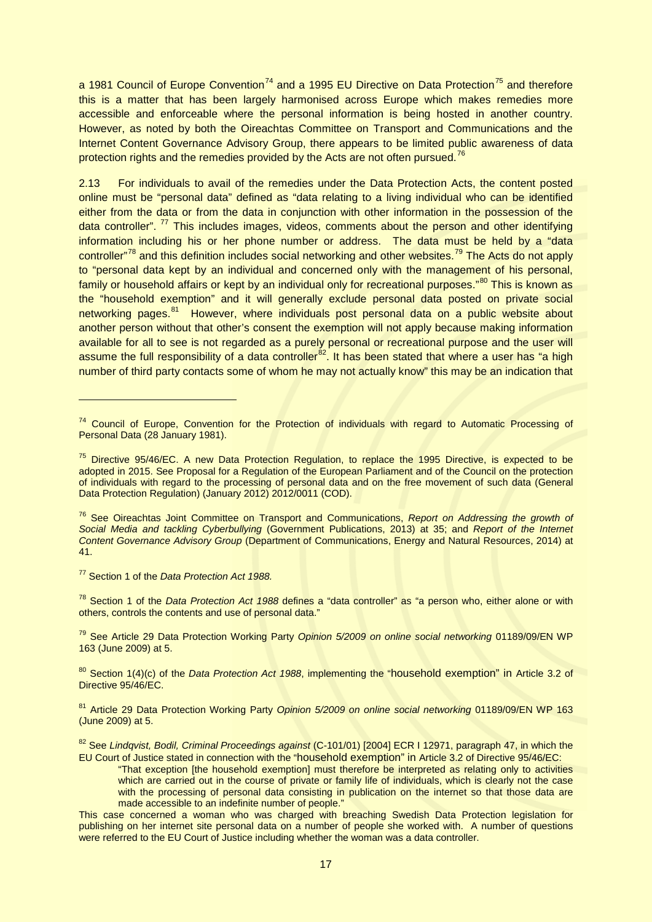a 1981 Council of Europe Convention<sup>[74](#page-16-0)</sup> and a 1995 EU Directive on Data Protection<sup>[75](#page-16-1)</sup> and therefore this is a matter that has been largely harmonised across Europe which makes remedies more accessible and enforceable where the personal information is being hosted in another country. However, as noted by both the Oireachtas Committee on Transport and Communications and the Internet Content Governance Advisory Group, there appears to be limited public awareness of data protection rights and the remedies provided by the Acts are not often pursued.<sup>[76](#page-16-2)</sup>

2.13 For individuals to avail of the remedies under the Data Protection Acts, the content posted online must be "personal data" defined as "data relating to a living individual who can be identified either from the data or from the data in conjunction with other information in the possession of the data controller".  $^{77}$  $^{77}$  $^{77}$  This includes images, videos, comments about the person and other identifying information including his or her phone number or address. The data must be held by a "data controller"<sup>[78](#page-16-4)</sup> and this definition includes social networking and other websites.<sup>[79](#page-16-5)</sup> The Acts do not apply to "personal data kept by an individual and concerned only with the management of his personal, family or household affairs or kept by an individual only for recreational purposes."<sup>[80](#page-16-6)</sup> This is known as the "household exemption" and it will generally exclude personal data posted on private social networking pages.<sup>81</sup> However, where individuals post personal data on a public website about another person without that other's consent the exemption will not apply because making information available for all to see is not regarded as a purely personal or recreational purpose and the user will assume the full responsibility of a data controller<sup>[82](#page-16-8)</sup>. It has been stated that where a user has "a high number of third party contacts some of whom he may not actually know" this may be an indication that

<span id="page-16-3"></span><sup>77</sup> Section 1 of the *Data Protection Act 1988.*

-

<span id="page-16-4"></span><sup>78</sup> Section 1 of the *Data Protection Act 1988* defines a "data controller" as "a person who, either alone or with others, controls the contents and use of personal data."

<span id="page-16-5"></span><sup>79</sup> See Article 29 Data Protection Working Party *Opinion 5/2009 on online social networking* 01189/09/EN WP 163 (June 2009) at 5.

<span id="page-16-6"></span><sup>80</sup> Section 1(4)(c) of the *Data Protection Act 1988*, implementing the "household exemption" in Article 3.2 of Directive 95/46/EC.

<span id="page-16-7"></span><sup>81</sup> Article 29 Data Protection Working Party *Opinion 5/2009 on online social networking* 01189/09/EN WP 163 (June 2009) at 5.

"That exception [the household exemption] must therefore be interpreted as relating only to activities which are carried out in the course of private or family life of individuals, which is clearly not the case with the processing of personal data consisting in publication on the internet so that those data are made accessible to an indefinite number of people."

<span id="page-16-0"></span><sup>&</sup>lt;sup>74</sup> Council of Europe, Convention for the Protection of individuals with regard to Automatic Processing of Personal Data (28 January 1981).

<span id="page-16-1"></span><sup>&</sup>lt;sup>75</sup> Directive 95/46/EC. A new Data Protection Regulation, to replace the 1995 Directive, is expected to be adopted in 2015. See Proposal for a Regulation of the European Parliament and of the Council on the protection of individuals with regard to the processing of personal data and on the free movement of such data (General Data Protection Regulation) (January 2012) 2012/0011 (COD).

<span id="page-16-2"></span><sup>76</sup> See Oireachtas Joint Committee on Transport and Communications, *Report on Addressing the growth of Social Media and tackling Cyberbullying* (Government Publications, 2013) at 35; and *Report of the Internet Content Governance Advisory Group* (Department of Communications, Energy and Natural Resources, 2014) at 41.

<span id="page-16-8"></span><sup>82</sup> See *Lindqvist, Bodil, Criminal Proceedings against* (C-101/01) [2004] ECR I 12971, paragraph 47, in which the EU Court of Justice stated in connection with the "household exemption" in Article 3.2 of Directive 95/46/EC:

This case concerned a woman who was charged with breaching Swedish Data Protection legislation for publishing on her internet site personal data on a number of people she worked with. A number of questions were referred to the EU Court of Justice including whether the woman was a data controller.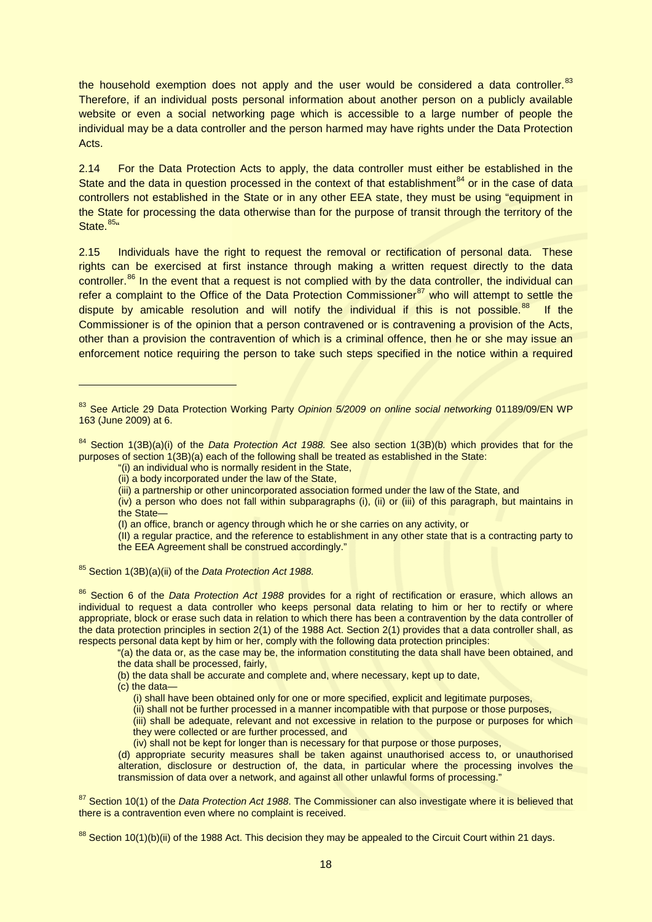the household exemption does not apply and the user would be considered a data controller. $83$ Therefore, if an individual posts personal information about another person on a publicly available website or even a social networking page which is accessible to a large number of people the individual may be a data controller and the person harmed may have rights under the Data Protection Acts.

2.14 For the Data Protection Acts to apply, the data controller must either be established in the State and the data in question processed in the context of that establishment<sup>[84](#page-17-1)</sup> or in the case of data controllers not established in the State or in any other EEA state, they must be using "equipment in the State for processing the data otherwise than for the purpose of transit through the territory of the State.<sup>85</sup>"

2.15 Individuals have the right to request the removal or rectification of personal data. These rights can be exercised at first instance through making a written request directly to the data controller.<sup>[86](#page-17-3)</sup> In the event that a request is not complied with by the data controller, the individual can refer a complaint to the Office of the Data Protection Commissioner<sup>[87](#page-17-4)</sup> who will attempt to settle the dispute by amicable resolution and will notify the individual if this is not possible.<sup>88</sup> If the Commissioner is of the opinion that a person contravened or is contravening a provision of the Acts, other than a provision the contravention of which is a criminal offence, then he or she may issue an enforcement notice requiring the person to take such steps specified in the notice within a required

<span id="page-17-2"></span><sup>85</sup> Section 1(3B)(a)(ii) of the *Data Protection Act 1988.*

<span id="page-17-0"></span><sup>83</sup> See Article 29 Data Protection Working Party *Opinion 5/2009 on online social networking* 01189/09/EN WP 163 (June 2009) at 6.

<span id="page-17-1"></span><sup>84</sup> Section 1(3B)(a)(i) of the *Data Protection Act 1988.* See also section 1(3B)(b) which provides that for the purposes of section 1(3B)(a) each of the following shall be treated as established in the State:

<sup>&</sup>quot;(i) an individual who is normally resident in the State,

<sup>(</sup>ii) a body incorporated under the law of the State,

<sup>(</sup>iii) a partnership or other unincorporated association formed under the law of the State, and

<sup>(</sup>iv) a person who does not fall within subparagraphs (i), (ii) or (iii) of this paragraph, but maintains in the State—

<sup>(</sup>I) an office, branch or agency through which he or she carries on any activity, or

<sup>(</sup>II) a regular practice, and the reference to establishment in any other state that is a contracting party to the EEA Agreement shall be construed accordingly."

<span id="page-17-3"></span><sup>86</sup> Section 6 of the *Data Protection Act 1988* provides for a right of rectification or erasure, which allows an individual to request a data controller who keeps personal data relating to him or her to rectify or where appropriate, block or erase such data in relation to which there has been a contravention by the data controller of the data protection principles in section 2(1) of the 1988 Act. Section 2(1) provides that a data controller shall, as respects personal data kept by him or her, comply with the following data protection principles:

<sup>&</sup>quot;(a) the data or, as the case may be, the information constituting the data shall have been obtained, and the data shall be processed, fairly,

<sup>(</sup>b) the data shall be accurate and complete and, where necessary, kept up to date,

<sup>(</sup>c) the data—

<sup>(</sup>i) shall have been obtained only for one or more specified, explicit and legitimate purposes,

<sup>(</sup>ii) shall not be further processed in a manner incompatible with that purpose or those purposes,

<sup>(</sup>iii) shall be adequate, relevant and not excessive in relation to the purpose or purposes for which they were collected or are further processed, and

<sup>(</sup>iv) shall not be kept for longer than is necessary for that purpose or those purposes,

<sup>(</sup>d) appropriate security measures shall be taken against unauthorised access to, or unauthorised alteration, disclosure or destruction of, the data, in particular where the processing involves the transmission of data over a network, and against all other unlawful forms of processing."

<span id="page-17-4"></span><sup>87</sup> Section 10(1) of the *Data Protection Act 1988*. The Commissioner can also investigate where it is believed that there is a contravention even where no complaint is received.

<span id="page-17-5"></span> $88$  Section 10(1)(b)(ii) of the 1988 Act. This decision they may be appealed to the Circuit Court within 21 days.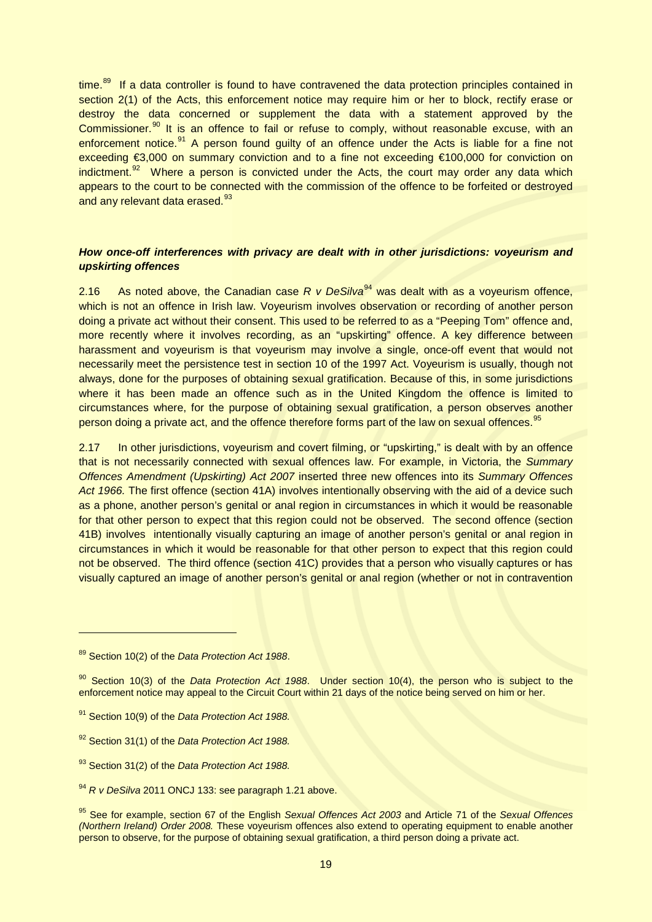time.<sup>[89](#page-18-0)</sup> If a data controller is found to have contravened the data protection principles contained in section 2(1) of the Acts, this enforcement notice may require him or her to block, rectify erase or destroy the data concerned or supplement the data with a statement approved by the Commissioner.<sup>[90](#page-18-1)</sup> It is an offence to fail or refuse to comply, without reasonable excuse, with an enforcement notice.<sup>[91](#page-18-2)</sup> A person found quilty of an offence under the Acts is liable for a fine not exceeding €3,000 on summary conviction and to a fine not exceeding €100,000 for conviction on indictment.<sup>[92](#page-18-3)</sup> Where a person is convicted under the Acts, the court may order any data which appears to the court to be connected with the commission of the offence to be forfeited or destroyed and any relevant data erased.<sup>[93](#page-18-4)</sup>

# *How once-off interferences with privacy are dealt with in other jurisdictions: voyeurism and upskirting offences*

2.16 As noted above, the Canadian case *R v DeSilva*<sup>[94](#page-18-5)</sup> was dealt with as a voyeurism offence, which is not an offence in Irish law. Voyeurism involves observation or recording of another person doing a private act without their consent. This used to be referred to as a "Peeping Tom" offence and, more recently where it involves recording, as an "upskirting" offence. A key difference between harassment and voyeurism is that voyeurism may involve a single, once-off event that would not necessarily meet the persistence test in section 10 of the 1997 Act. Voyeurism is usually, though not always, done for the purposes of obtaining sexual gratification. Because of this, in some jurisdictions where it has been made an offence such as in the United Kingdom the offence is limited to circumstances where, for the purpose of obtaining sexual gratification, a person observes another person doing a private act, and the offence therefore forms part of the law on sexual offences.<sup>[95](#page-18-6)</sup>

2.17 In other jurisdictions, voyeurism and covert filming, or "upskirting," is dealt with by an offence that is not necessarily connected with sexual offences law. For example, in Victoria, the *Summary Offences Amendment (Upskirting) Act 2007* inserted three new offences into its *Summary Offences Act 1966.* The first offence (section 41A) involves intentionally observing with the aid of a device such as a phone, another person's genital or anal region in circumstances in which it would be reasonable for that other person to expect that this region could not be observed. The second offence (section 41B) involves intentionally visually capturing an image of another person's genital or anal region in circumstances in which it would be reasonable for that other person to expect that this region could not be observed. The third offence (section 41C) provides that a person who visually captures or has visually captured an image of another person's genital or anal region (whether or not in contravention

-

<span id="page-18-4"></span><sup>93</sup> Section 31(2) of the *Data Protection Act 1988.*

<span id="page-18-0"></span><sup>89</sup> Section 10(2) of the *Data Protection Act 1988*.

<span id="page-18-1"></span><sup>90</sup> Section 10(3) of the *Data Protection Act 1988*. Under section 10(4), the person who is subject to the enforcement notice may appeal to the Circuit Court within 21 days of the notice being served on him or her.

<span id="page-18-2"></span><sup>91</sup> Section 10(9) of the *Data Protection Act 1988.*

<span id="page-18-3"></span><sup>92</sup> Section 31(1) of the *Data Protection Act 1988.*

<span id="page-18-5"></span><sup>94</sup> *R v DeSilva* 2011 ONCJ 133: see paragraph 1.21 above.

<span id="page-18-6"></span><sup>95</sup> See for example, section 67 of the English *Sexual Offences Act 2003* and Article 71 of the *Sexual Offences (Northern Ireland) Order 2008.* These voyeurism offences also extend to operating equipment to enable another person to observe, for the purpose of obtaining sexual gratification, a third person doing a private act.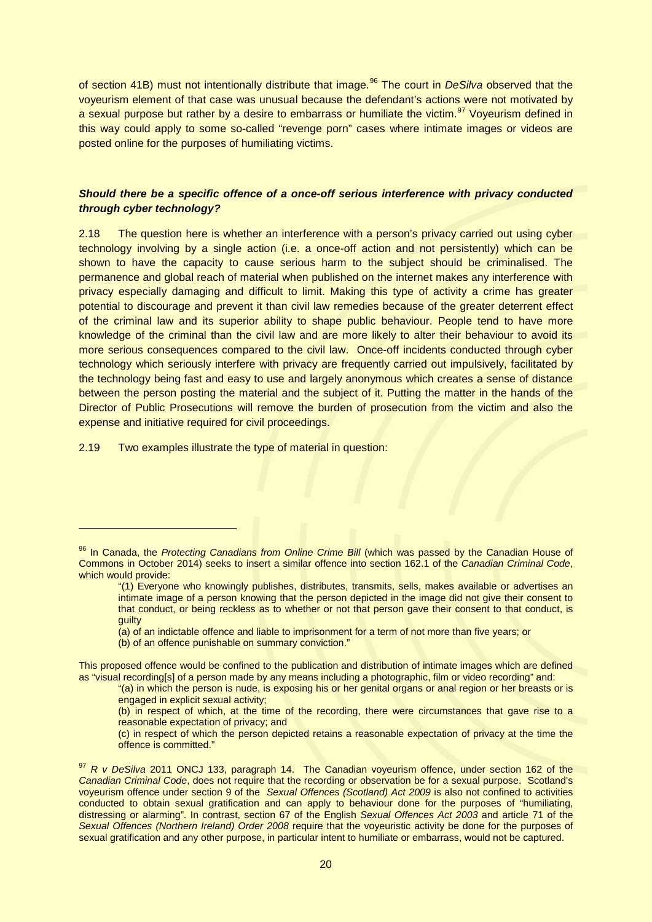of section 41B) must not intentionally distribute that image.<sup>[96](#page-19-0)</sup> The court in *DeSilva* observed that the voyeurism element of that case was unusual because the defendant's actions were not motivated by a sexual purpose but rather by a desire to embarrass or humiliate the victim.<sup>[97](#page-19-1)</sup> Voyeurism defined in this way could apply to some so-called "revenge porn" cases where intimate images or videos are posted online for the purposes of humiliating victims.

# *Should there be a specific offence of a once-off serious interference with privacy conducted through cyber technology?*

2.18 The question here is whether an interference with a person's privacy carried out using cyber technology involving by a single action (i.e. a once-off action and not persistently) which can be shown to have the capacity to cause serious harm to the subject should be criminalised. The permanence and global reach of material when published on the internet makes any interference with privacy especially damaging and difficult to limit. Making this type of activity a crime has greater potential to discourage and prevent it than civil law remedies because of the greater deterrent effect of the criminal law and its superior ability to shape public behaviour. People tend to have more knowledge of the criminal than the civil law and are more likely to alter their behaviour to avoid its more serious consequences compared to the civil law. Once-off incidents conducted through cyber technology which seriously interfere with privacy are frequently carried out impulsively, facilitated by the technology being fast and easy to use and largely anonymous which creates a sense of distance between the person posting the material and the subject of it. Putting the matter in the hands of the Director of Public Prosecutions will remove the burden of prosecution from the victim and also the expense and initiative required for civil proceedings.

2.19 Two examples illustrate the type of material in question:

<span id="page-19-0"></span><sup>96</sup> In Canada, the Protecting Canadians from Online Crime Bill (which was passed by the Canadian House of Commons in October 2014) seeks to insert a similar offence into section 162.1 of the *Canadian Criminal Code*, which would provide:

<sup>&</sup>quot;(1) Everyone who knowingly publishes, distributes, transmits, sells, makes available or advertises an intimate image of a person knowing that the person depicted in the image did not give their consent to that conduct, or being reckless as to whether or not that person gave their consent to that conduct, is guilty

<sup>(</sup>a) of an indictable offence and liable to imprisonment for a term of not more than five years; or

<sup>(</sup>b) of an offence punishable on summary conviction."

This proposed offence would be confined to the publication and distribution of intimate images which are defined as "visual recording[s] of a person made by any means including a photographic, film or video recording" and:

<sup>&</sup>quot;(a) in which the person is nude, is exposing his or her genital organs or anal region or her breasts or is engaged in explicit sexual activity;

<sup>(</sup>b) in respect of which, at the time of the recording, there were circumstances that gave rise to a reasonable expectation of privacy; and

<sup>(</sup>c) in respect of which the person depicted retains a reasonable expectation of privacy at the time the offence is committed."

<span id="page-19-1"></span><sup>97</sup> *R v DeSilva* 2011 ONCJ 133, paragraph 14. The Canadian voyeurism offence, under section 162 of the *Canadian Criminal Code*, does not require that the recording or observation be for a sexual purpose. Scotland's voyeurism offence under section 9 of the *Sexual Offences (Scotland) Act 2009* is also not confined to activities conducted to obtain sexual gratification and can apply to behaviour done for the purposes of "humiliating, distressing or alarming". In contrast, section 67 of the English *Sexual Offences Act 2003* and article 71 of the *Sexual Offences (Northern Ireland) Order 2008* require that the voyeuristic activity be done for the purposes of sexual gratification and any other purpose, in particular intent to humiliate or embarrass, would not be captured.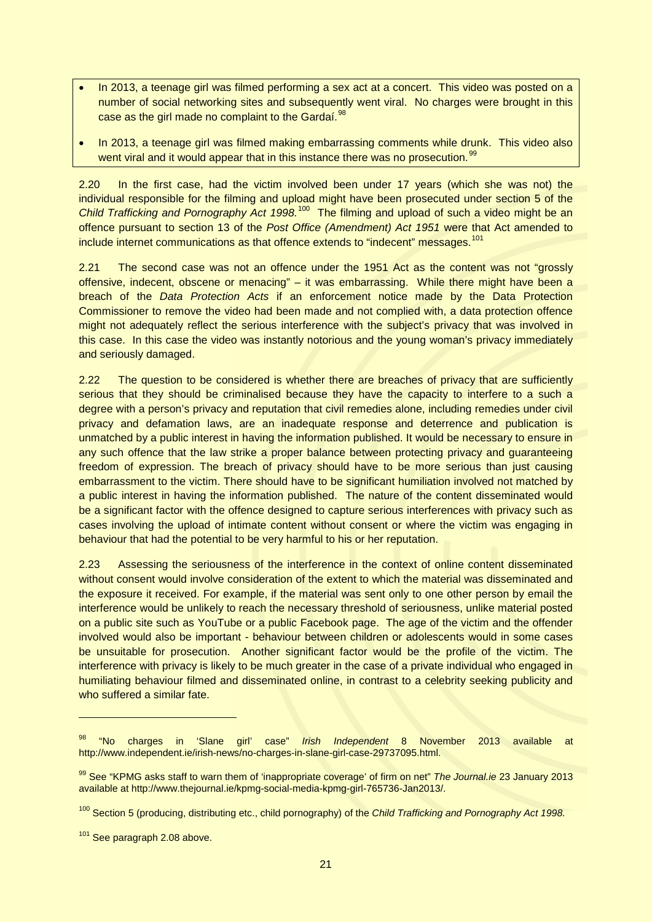- In 2013, a teenage girl was filmed performing a sex act at a concert. This video was posted on a number of social networking sites and subsequently went viral. No charges were brought in this case as the girl made no complaint to the Gardaí.<sup>[98](#page-20-0)</sup>
- In 2013, a teenage girl was filmed making embarrassing comments while drunk. This video also went viral and it would appear that in this instance there was no prosecution.<sup>[99](#page-20-1)</sup>

2.20 In the first case, had the victim involved been under 17 years (which she was not) the individual responsible for the filming and upload might have been prosecuted under section 5 of the Child Trafficking and Pornography Act 1998.<sup>[100](#page-20-2)</sup> The filming and upload of such a video might be an offence pursuant to section 13 of the *Post Office (Amendment) Act 1951* were that Act amended to include internet communications as that offence extends to "indecent" messages.<sup>101</sup>

2.21 The second case was not an offence under the 1951 Act as the content was not "grossly offensive, indecent, obscene or menacing" – it was embarrassing. While there might have been a breach of the *Data Protection Acts* if an enforcement notice made by the Data Protection Commissioner to remove the video had been made and not complied with, a data protection offence might not adequately reflect the serious interference with the subject's privacy that was involved in this case. In this case the video was instantly notorious and the young woman's privacy immediately and seriously damaged.

2.22 The question to be considered is whether there are breaches of privacy that are sufficiently serious that they should be criminalised because they have the capacity to interfere to a such a degree with a person's privacy and reputation that civil remedies alone, including remedies under civil privacy and defamation laws, are an inadequate response and deterrence and publication is unmatched by a public interest in having the information published. It would be necessary to ensure in any such offence that the law strike a proper balance between protecting privacy and guaranteeing freedom of expression. The breach of privacy should have to be more serious than just causing embarrassment to the victim. There should have to be significant humiliation involved not matched by a public interest in having the information published. The nature of the content disseminated would be a significant factor with the offence designed to capture serious interferences with privacy such as cases involving the upload of intimate content without consent or where the victim was engaging in behaviour that had the potential to be very harmful to his or her reputation.

2.23 Assessing the seriousness of the interference in the context of online content disseminated without consent would involve consideration of the extent to which the material was disseminated and the exposure it received. For example, if the material was sent only to one other person by email the interference would be unlikely to reach the necessary threshold of seriousness, unlike material posted on a public site such as YouTube or a public Facebook page. The age of the victim and the offender involved would also be important - behaviour between children or adolescents would in some cases be unsuitable for prosecution. Another significant factor would be the profile of the victim. The interference with privacy is likely to be much greater in the case of a private individual who engaged in humiliating behaviour filmed and disseminated online, in contrast to a celebrity seeking publicity and who suffered a similar fate.

<span id="page-20-0"></span><sup>98</sup> "No charges in 'Slane girl' case" *Irish Independent* 8 November 2013 available at http://www.independent.ie/irish-news/no-charges-in-slane-girl-case-29737095.html.

<span id="page-20-1"></span><sup>99</sup> See "KPMG asks staff to warn them of 'inappropriate coverage' of firm on net" *The Journal.ie* 23 January 2013 available at http://www.thejournal.ie/kpmg-social-media-kpmg-girl-765736-Jan2013/.

<span id="page-20-2"></span><sup>100</sup> Section 5 (producing, distributing etc., child pornography) of the *Child Trafficking and Pornography Act 1998.*

<span id="page-20-3"></span><sup>&</sup>lt;sup>101</sup> See paragraph 2.08 above.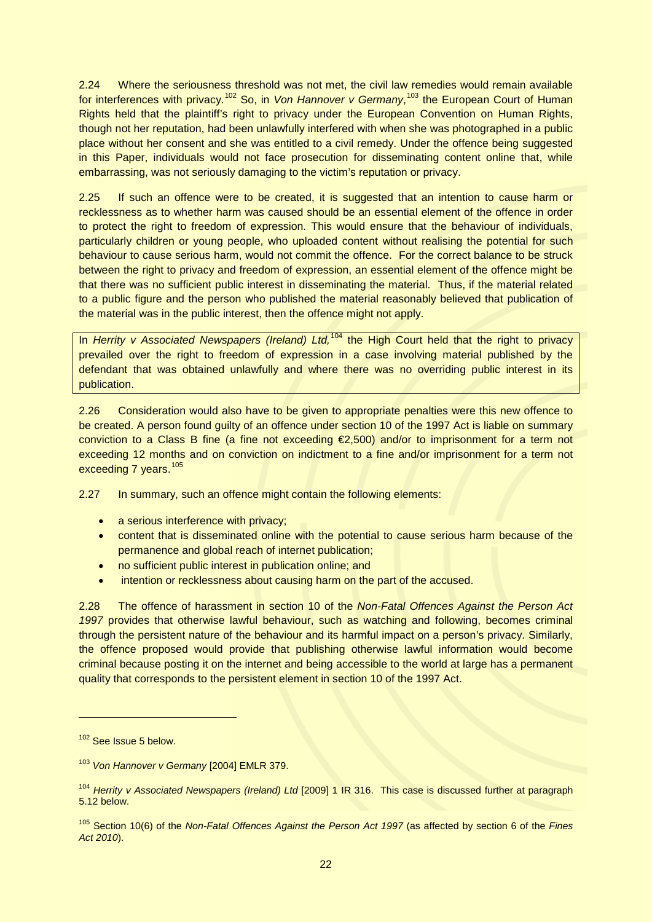2.24 Where the seriousness threshold was not met, the civil law remedies would remain available for interferences with privacy.<sup>[102](#page-21-0)</sup> So, in *Von Hannover v Germany*,<sup>[103](#page-21-1)</sup> the European Court of Human Rights held that the plaintiff's right to privacy under the European Convention on Human Rights, though not her reputation, had been unlawfully interfered with when she was photographed in a public place without her consent and she was entitled to a civil remedy. Under the offence being suggested in this Paper, individuals would not face prosecution for disseminating content online that, while embarrassing, was not seriously damaging to the victim's reputation or privacy.

2.25 If such an offence were to be created, it is suggested that an intention to cause harm or recklessness as to whether harm was caused should be an essential element of the offence in order to protect the right to freedom of expression. This would ensure that the behaviour of individuals, particularly children or young people, who uploaded content without realising the potential for such behaviour to cause serious harm, would not commit the offence. For the correct balance to be struck between the right to privacy and freedom of expression, an essential element of the offence might be that there was no sufficient public interest in disseminating the material. Thus, if the material related to a public figure and the person who published the material reasonably believed that publication of the material was in the public interest, then the offence might not apply.

In *Herrity v Associated Newspapers (Ireland) Ltd*,<sup>[104](#page-21-2)</sup> the High Court held that the right to privacy prevailed over the right to freedom of expression in a case involving material published by the defendant that was obtained unlawfully and where there was no overriding public interest in its publication.

2.26 Consideration would also have to be given to appropriate penalties were this new offence to be created. A person found guilty of an offence under section 10 of the 1997 Act is liable on summary conviction to a Class B fine (a fine not exceeding €2,500) and/or to imprisonment for a term not exceeding 12 months and on conviction on indictment to a fine and/or imprisonment for a term not exceeding 7 years.<sup>[105](#page-21-3)</sup>

2.27 In summary, such an offence might contain the following elements:

- a serious interference with privacy;
- content that is disseminated online with the potential to cause serious harm because of the permanence and global reach of internet publication;
- no sufficient public interest in publication online; and
- intention or recklessness about causing harm on the part of the accused.

2.28 The offence of harassment in section 10 of the *Non-Fatal Offences Against the Person Act 1997* provides that otherwise lawful behaviour, such as watching and following, becomes criminal through the persistent nature of the behaviour and its harmful impact on a person's privacy. Similarly, the offence proposed would provide that publishing otherwise lawful information would become criminal because posting it on the internet and being accessible to the world at large has a permanent quality that corresponds to the persistent element in section 10 of the 1997 Act.

<span id="page-21-0"></span><sup>&</sup>lt;sup>102</sup> See Issue 5 below.

<span id="page-21-1"></span><sup>103</sup> *Von Hannover v Germany* [2004] EMLR 379.

<span id="page-21-2"></span><sup>104</sup> *Herrity v Associated Newspapers (Ireland) Ltd* [2009] 1 IR 316. This case is discussed further at paragraph 5.12 below.

<span id="page-21-3"></span><sup>105</sup> Section 10(6) of the *Non-Fatal Offences Against the Person Act 1997* (as affected by section 6 of the *Fines Act 2010*).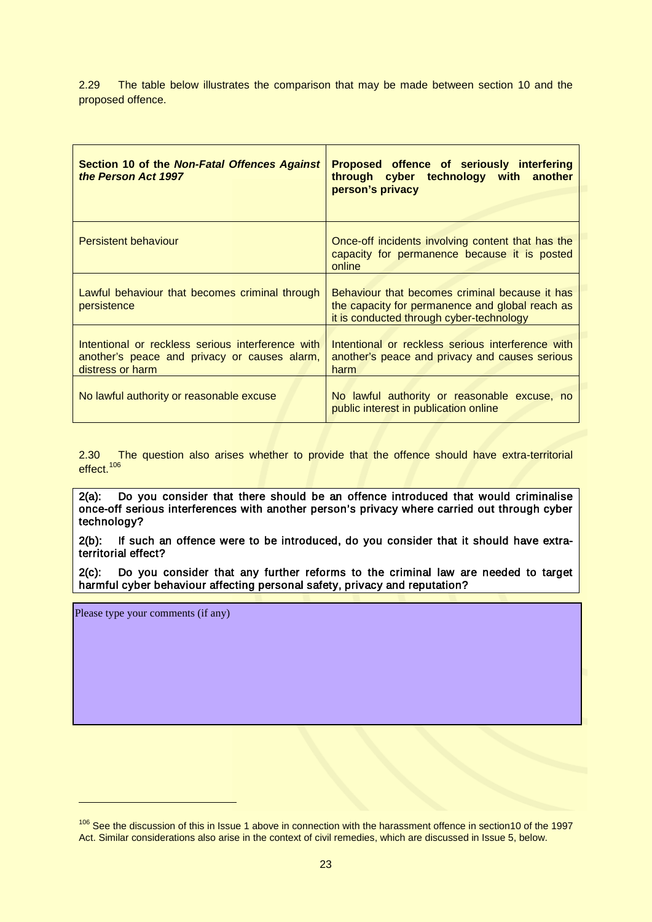2.29 The table below illustrates the comparison that may be made between section 10 and the proposed offence.

| <b>Section 10 of the Non-Fatal Offences Against</b><br>the Person Act 1997                                            | <b>Proposed offence of seriously interfering</b><br>through cyber technology with another<br>person's privacy                                 |
|-----------------------------------------------------------------------------------------------------------------------|-----------------------------------------------------------------------------------------------------------------------------------------------|
| <b>Persistent behaviour</b>                                                                                           | Once-off incidents involving content that has the<br>capacity for permanence because it is posted<br>online                                   |
| Lawful behaviour that becomes criminal through<br>persistence                                                         | Behaviour that becomes criminal because it has<br>the capacity for permanence and global reach as<br>it is conducted through cyber-technology |
| Intentional or reckless serious interference with<br>another's peace and privacy or causes alarm,<br>distress or harm | Intentional or reckless serious interference with<br>another's peace and privacy and causes serious<br>harm                                   |
| No lawful authority or reasonable excuse                                                                              | No lawful authority or reasonable excuse, no<br>public interest in publication online                                                         |

2.30 The question also arises whether to provide that the offence should have extra-territorial effect.<sup>106</sup>

2(a): Do you consider that there should be an offence introduced that would criminalise once-off serious interferences with another person's privacy where carried out through cyber technology?

2(b): If such an offence were to be introduced, do you consider that it should have extraterritorial effect?

2(c): Do you consider that any further reforms to the criminal law are needed to target harmful cyber behaviour affecting personal safety, privacy and reputation?

Please type your comments (if any)

<span id="page-22-0"></span><sup>&</sup>lt;sup>106</sup> See the discussion of this in Issue 1 above in connection with the harassment offence in section10 of the 1997 Act. Similar considerations also arise in the context of civil remedies, which are discussed in Issue 5, below.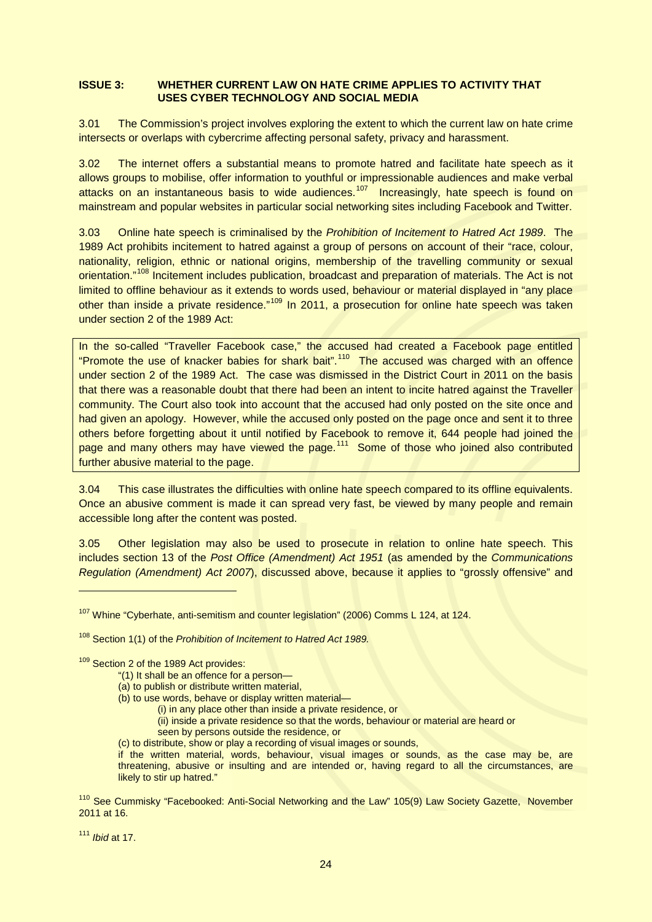## **ISSUE 3: WHETHER CURRENT LAW ON HATE CRIME APPLIES TO ACTIVITY THAT USES CYBER TECHNOLOGY AND SOCIAL MEDIA**

3.01 The Commission's project involves exploring the extent to which the current law on hate crime intersects or overlaps with cybercrime affecting personal safety, privacy and harassment.

3.02 The internet offers a substantial means to promote hatred and facilitate hate speech as it allows groups to mobilise, offer information to youthful or impressionable audiences and make verbal attacks on an instantaneous basis to wide audiences.<sup>[107](#page-23-0)</sup> Increasingly, hate speech is found on mainstream and popular websites in particular social networking sites including Facebook and Twitter.

3.03 Online hate speech is criminalised by the *Prohibition of Incitement to Hatred Act 1989*. The 1989 Act prohibits incitement to hatred against a group of persons on account of their "race, colour, nationality, religion, ethnic or national origins, membership of the travelling community or sexual orientation."<sup>[108](#page-23-1)</sup> Incitement includes publication, broadcast and preparation of materials. The Act is not limited to offline behaviour as it extends to words used, behaviour or material displayed in "any place other than inside a private residence."<sup>[109](#page-23-2)</sup> In 2011, a prosecution for online hate speech was taken under section 2 of the 1989 Act:

In the so-called "Traveller Facebook case," the accused had created a Facebook page entitled "Promote the use of knacker babies for shark bait".<sup>[110](#page-23-3)</sup> The accused was charged with an offence under section 2 of the 1989 Act. The case was dismissed in the District Court in 2011 on the basis that there was a reasonable doubt that there had been an intent to incite hatred against the Traveller community. The Court also took into account that the accused had only posted on the site once and had given an apology. However, while the accused only posted on the page once and sent it to three others before forgetting about it until notified by Facebook to remove it, 644 people had joined the page and many others may have viewed the page.<sup>[111](#page-23-4)</sup> Some of those who joined also contributed further abusive material to the page.

3.04 This case illustrates the difficulties with online hate speech compared to its offline equivalents. Once an abusive comment is made it can spread very fast, be viewed by many people and remain accessible long after the content was posted.

3.05 Other legislation may also be used to prosecute in relation to online hate speech. This includes section 13 of the *Post Office (Amendment) Act 1951* (as amended by the *Communications Regulation (Amendment) Act 2007*), discussed above, because it applies to "grossly offensive" and

- (a) to publish or distribute written material,
- (b) to use words, behave or display written material—
	- (i) in any place other than inside a private residence, or
	- (ii) inside a private residence so that the words, behaviour or material are heard or
	- seen by persons outside the residence, or
- (c) to distribute, show or play a recording of visual images or sounds,

if the written material, words, behaviour, visual images or sounds, as the case may be, are threatening, abusive or insulting and are intended or, having regard to all the circumstances, are likely to stir up hatred."

<span id="page-23-4"></span><sup>111</sup> *Ibid* at 17.

<span id="page-23-0"></span><sup>&</sup>lt;sup>107</sup> Whine "Cyberhate, anti-semitism and counter legislation" (2006) Comms L 124, at 124.

<span id="page-23-1"></span><sup>108</sup> Section 1(1) of the *Prohibition of Incitement to Hatred Act 1989.* 

<span id="page-23-2"></span><sup>109</sup> Section 2 of the 1989 Act provides:

<sup>&</sup>quot;(1) It shall be an offence for a person—

<span id="page-23-3"></span><sup>&</sup>lt;sup>110</sup> See Cummisky "Facebooked: Anti-Social Networking and the Law" 105(9) Law Society Gazette, November 2011 at 16.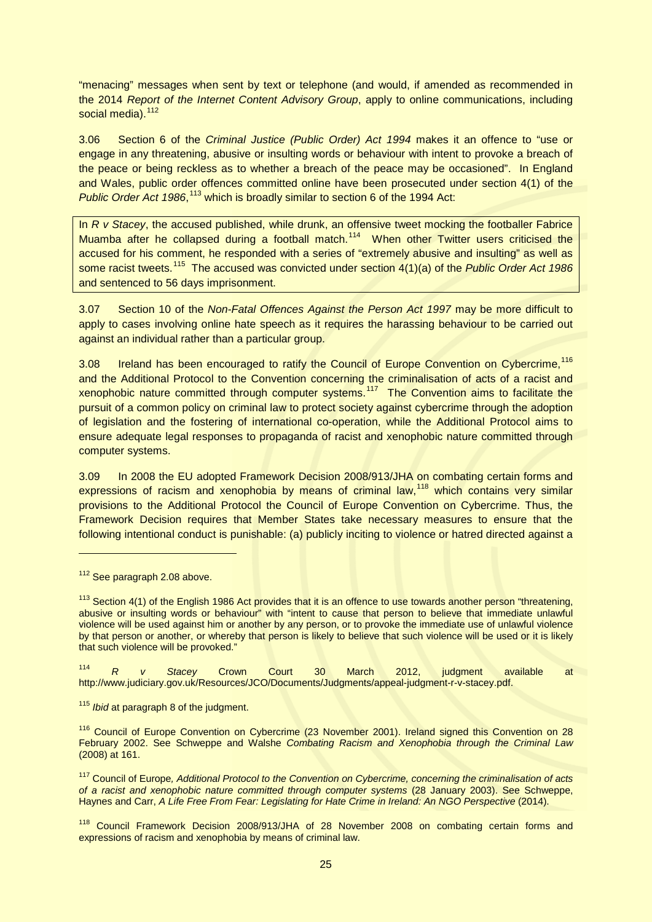"menacing" messages when sent by text or telephone (and would, if amended as recommended in the 2014 *Report of the Internet Content Advisory Group*, apply to online communications, including social media).<sup>112</sup>

3.06 Section 6 of the *Criminal Justice (Public Order) Act 1994* makes it an offence to "use or engage in any threatening, abusive or insulting words or behaviour with intent to provoke a breach of the peace or being reckless as to whether a breach of the peace may be occasioned". In England and Wales, public order offences committed online have been prosecuted under section 4(1) of the Public Order Act 1986,<sup>[113](#page-24-1)</sup> which is broadly similar to section 6 of the 1994 Act:

In *R v Stacey*, the accused published, while drunk, an offensive tweet mocking the footballer Fabrice Muamba after he collapsed during a football match.<sup>[114](#page-24-2)</sup> When other Twitter users criticised the accused for his comment, he responded with a series of "extremely abusive and insulting" as well as some racist tweets.<sup>[115](#page-24-3)</sup> The accused was convicted under section 4(1)(a) of the *Public Order Act 1986* and sentenced to 56 days imprisonment.

3.07 Section 10 of the *Non-Fatal Offences Against the Person Act 1997* may be more difficult to apply to cases involving online hate speech as it requires the harassing behaviour to be carried out against an individual rather than a particular group.

3.08 Ireland has been encouraged to ratify the Council of Europe Convention on Cybercrime,<sup>[116](#page-24-4)</sup> and the Additional Protocol to the Convention concerning the criminalisation of acts of a racist and xenophobic nature committed through computer systems.<sup>[117](#page-24-5)</sup> The Convention aims to facilitate the pursuit of a common policy on criminal law to protect society against cybercrime through the adoption of legislation and the fostering of international co-operation, while the Additional Protocol aims to ensure adequate legal responses to propaganda of racist and xenophobic nature committed through computer systems.

3.09 In 2008 the EU adopted Framework Decision 2008/913/JHA on combating certain forms and expressions of racism and xenophobia by means of criminal law,<sup>[118](#page-24-6)</sup> which contains very similar provisions to the Additional Protocol the Council of Europe Convention on Cybercrime. Thus, the Framework Decision requires that Member States take necessary measures to ensure that the following intentional conduct is punishable: (a) publicly inciting to violence or hatred directed against a

-

<span id="page-24-2"></span><sup>114</sup> *R v Stacey* Crown Court 30 March 2012, judgment available at http://www.judiciary.gov.uk/Resources/JCO/Documents/Judgments/appeal-judgment-r-v-stacey.pdf.

<span id="page-24-0"></span><sup>&</sup>lt;sup>112</sup> See paragraph 2.08 above.

<span id="page-24-1"></span><sup>&</sup>lt;sup>113</sup> Section 4(1) of the English 1986 Act provides that it is an offence to use towards another person "threatening, abusive or insulting words or behaviour" with "intent to cause that person to believe that immediate unlawful violence will be used against him or another by any person, or to provoke the immediate use of unlawful violence by that person or another, or whereby that person is likely to believe that such violence will be used or it is likely that such violence will be provoked."

<span id="page-24-3"></span><sup>115</sup> *Ibid* at paragraph 8 of the judgment.

<span id="page-24-4"></span><sup>&</sup>lt;sup>116</sup> Council of Europe Convention on Cybercrime (23 November 2001). Ireland signed this Convention on 28 February 2002. See Schweppe and Walshe *Combating Racism and Xenophobia through the Criminal Law* (2008) at 161.

<span id="page-24-5"></span><sup>117</sup> Council of Europe*, Additional Protocol to the Convention on Cybercrime, concerning the criminalisation of acts of a racist and xenophobic nature committed through computer systems* (28 January 2003). See Schweppe, Haynes and Carr, *A Life Free From Fear: Legislating for Hate Crime in Ireland: An NGO Perspective* (2014).

<span id="page-24-6"></span><sup>&</sup>lt;sup>118</sup> Council Framework Decision 2008/913/JHA of 28 November 2008 on combating certain forms and expressions of racism and xenophobia by means of criminal law.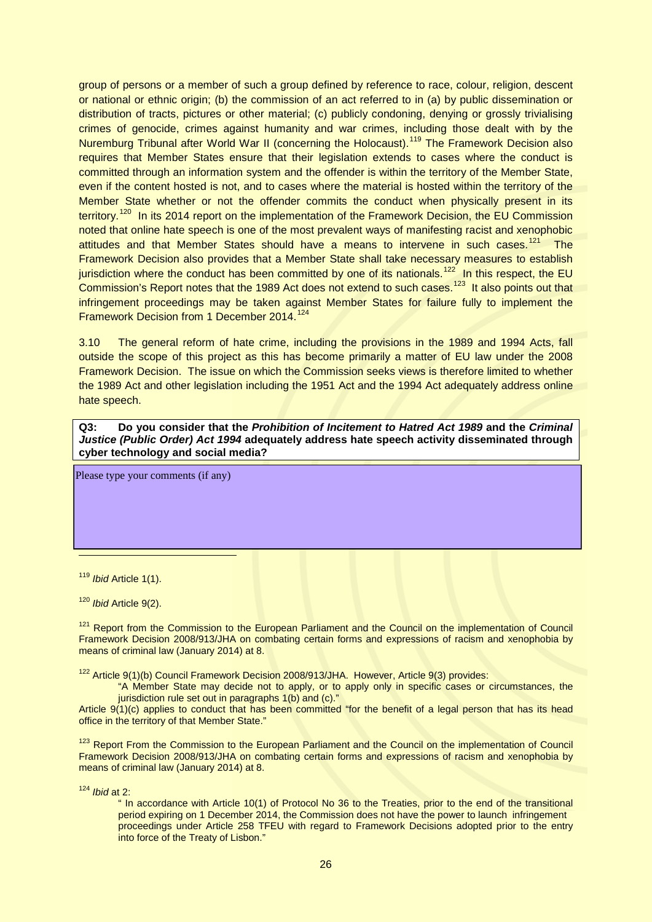group of persons or a member of such a group defined by reference to race, colour, religion, descent or national or ethnic origin; (b) the commission of an act referred to in (a) by public dissemination or distribution of tracts, pictures or other material; (c) publicly condoning, denying or grossly trivialising crimes of genocide, crimes against humanity and war crimes, including those dealt with by the Nuremburg Tribunal after World War II (concerning the Holocaust).[119](#page-25-0) The Framework Decision also requires that Member States ensure that their legislation extends to cases where the conduct is committed through an information system and the offender is within the territory of the Member State, even if the content hosted is not, and to cases where the material is hosted within the territory of the Member State whether or not the offender commits the conduct when physically present in its territory.<sup>[120](#page-25-1)</sup> In its 2014 report on the implementation of the Framework Decision, the EU Commission noted that online hate speech is one of the most prevalent ways of manifesting racist and xenophobic attitudes and that Member States should have a means to intervene in such cases.<sup>121</sup> The Framework Decision also provides that a Member State shall take necessary measures to establish jurisdiction where the conduct has been committed by one of its nationals.<sup>[122](#page-25-3)</sup> In this respect, the EU Commission's Report notes that the 1989 Act does not extend to such cases.<sup>[123](#page-25-4)</sup> It also points out that infringement proceedings may be taken against Member States for failure fully to implement the Framework Decision from 1 December 2014.<sup>[124](#page-25-5)</sup>

3.10 The general reform of hate crime, including the provisions in the 1989 and 1994 Acts, fall outside the scope of this project as this has become primarily a matter of EU law under the 2008 Framework Decision. The issue on which the Commission seeks views is therefore limited to whether the 1989 Act and other legislation including the 1951 Act and the 1994 Act adequately address online hate speech.

**Q3: Do you consider that the** *Prohibition of Incitement to Hatred Act 1989* **and the** *Criminal Justice (Public Order) Act 1994* **adequately address hate speech activity disseminated through cyber technology and social media?**

Please type your comments (if any)

<span id="page-25-0"></span><sup>119</sup> *Ibid* Article 1(1).

 $\overline{a}$ 

<span id="page-25-1"></span><sup>120</sup> *Ibid* Article 9(2).

<span id="page-25-2"></span><sup>121</sup> Report from the Commission to the European Parliament and the Council on the implementation of Council Framework Decision 2008/913/JHA on combating certain forms and expressions of racism and xenophobia by means of criminal law (January 2014) at 8.

<span id="page-25-3"></span><sup>122</sup> Article 9(1)(b) Council Framework Decision 2008/913/JHA. However, Article 9(3) provides:

"A Member State may decide not to apply, or to apply only in specific cases or circumstances, the jurisdiction rule set out in paragraphs 1(b) and (c)."

Article 9(1)(c) applies to conduct that has been committed "for the benefit of a legal person that has its head office in the territory of that Member State."

<span id="page-25-4"></span><sup>123</sup> Report From the Commission to the European Parliament and the Council on the implementation of Council Framework Decision 2008/913/JHA on combating certain forms and expressions of racism and xenophobia by means of criminal law (January 2014) at 8.

<span id="page-25-5"></span><sup>124</sup> *Ibid* at 2:

" In accordance with Article 10(1) of Protocol No 36 to the Treaties, prior to the end of the transitional period expiring on 1 December 2014, the Commission does not have the power to launch infringement proceedings under Article 258 TFEU with regard to Framework Decisions adopted prior to the entry into force of the Treaty of Lisbon."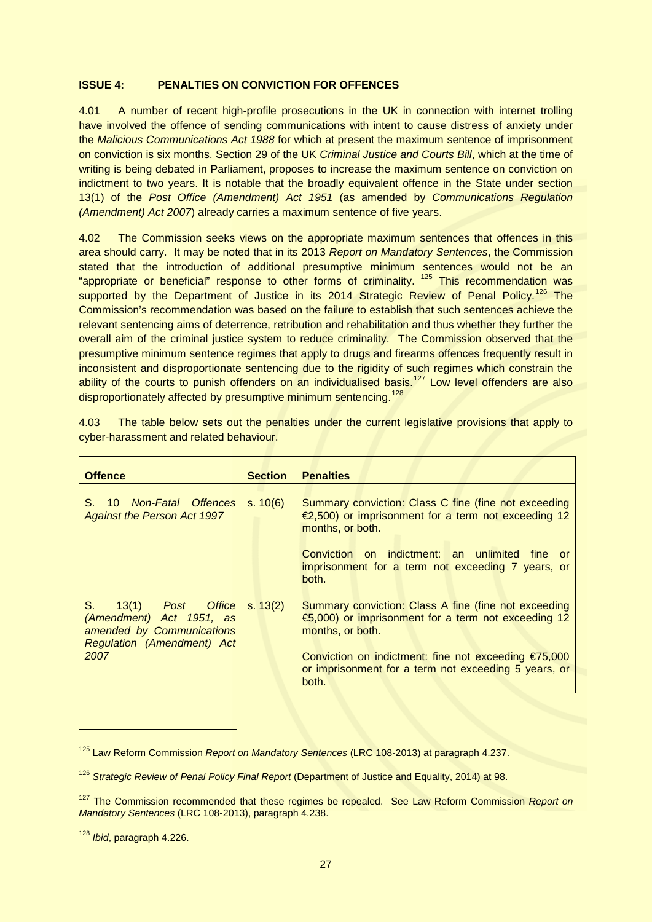# **ISSUE 4: PENALTIES ON CONVICTION FOR OFFENCES**

4.01 A number of recent high-profile prosecutions in the UK in connection with internet trolling have involved the offence of sending communications with intent to cause distress of anxiety under the *Malicious Communications Act 1988* for which at present the maximum sentence of imprisonment on conviction is six months. Section 29 of the UK *Criminal Justice and Courts Bill*, which at the time of writing is being debated in Parliament, proposes to increase the maximum sentence on conviction on indictment to two years. It is notable that the broadly equivalent offence in the State under section 13(1) of the *Post Office (Amendment) Act 1951* (as amended by *Communications Regulation (Amendment) Act 2007*) already carries a maximum sentence of five years.

4.02 The Commission seeks views on the appropriate maximum sentences that offences in this area should carry. It may be noted that in its 2013 *Report on Mandatory Sentences*, the Commission stated that the introduction of additional presumptive minimum sentences would not be an "appropriate or beneficial" response to other forms of criminality. <sup>[125](#page-26-0)</sup> This recommendation was supported by the Department of Justice in its 2014 Strategic Review of Penal Policy.<sup>[126](#page-26-1)</sup> The Commission's recommendation was based on the failure to establish that such sentences achieve the relevant sentencing aims of deterrence, retribution and rehabilitation and thus whether they further the overall aim of the criminal justice system to reduce criminality. The Commission observed that the presumptive minimum sentence regimes that apply to drugs and firearms offences frequently result in inconsistent and disproportionate sentencing due to the rigidity of such regimes which constrain the ability of the courts to punish offenders on an individualised basis.<sup>[127](#page-26-2)</sup> Low level offenders are also disproportionately affected by presumptive minimum sentencing.<sup>[128](#page-26-3)</sup>

| <b>Offence</b>                                                                                                                   | <b>Section</b> | <b>Penalties</b>                                                                                                                                                                                                                                                      |
|----------------------------------------------------------------------------------------------------------------------------------|----------------|-----------------------------------------------------------------------------------------------------------------------------------------------------------------------------------------------------------------------------------------------------------------------|
| S. 10 Non-Fatal Offences<br><b>Against the Person Act 1997</b>                                                                   | s. 10(6)       | Summary conviction: Class C fine (fine not exceeding<br>$\epsilon$ ,500) or imprisonment for a term not exceeding 12<br>months, or both.<br>Conviction on indictment: an unlimited<br>fine or<br>imprisonment for a term not exceeding 7 years, or<br>both.           |
| S.<br>Post Office<br>13(1)<br>(Amendment) Act 1951, as<br>amended by Communications<br><b>Regulation (Amendment) Act</b><br>2007 | s. 13(2)       | Summary conviction: Class A fine (fine not exceeding<br>$\bigoplus$ ,000) or imprisonment for a term not exceeding 12<br>months, or both.<br>Conviction on indictment: fine not exceeding $E$ 75,000<br>or imprisonment for a term not exceeding 5 years, or<br>both. |

4.03 The table below sets out the penalties under the current legislative provisions that apply to cyber-harassment and related behaviour.

<span id="page-26-0"></span><sup>125</sup> Law Reform Commission *Report on Mandatory Sentences* (LRC 108-2013) at paragraph 4.237.

<span id="page-26-1"></span><sup>126</sup> *Strategic Review of Penal Policy Final Report* (Department of Justice and Equality, 2014) at 98.

<span id="page-26-2"></span><sup>127</sup> The Commission recommended that these regimes be repealed. See Law Reform Commission *Report on Mandatory Sentences* (LRC 108-2013), paragraph 4.238.

<span id="page-26-3"></span><sup>128</sup> *Ibid*, paragraph 4.226.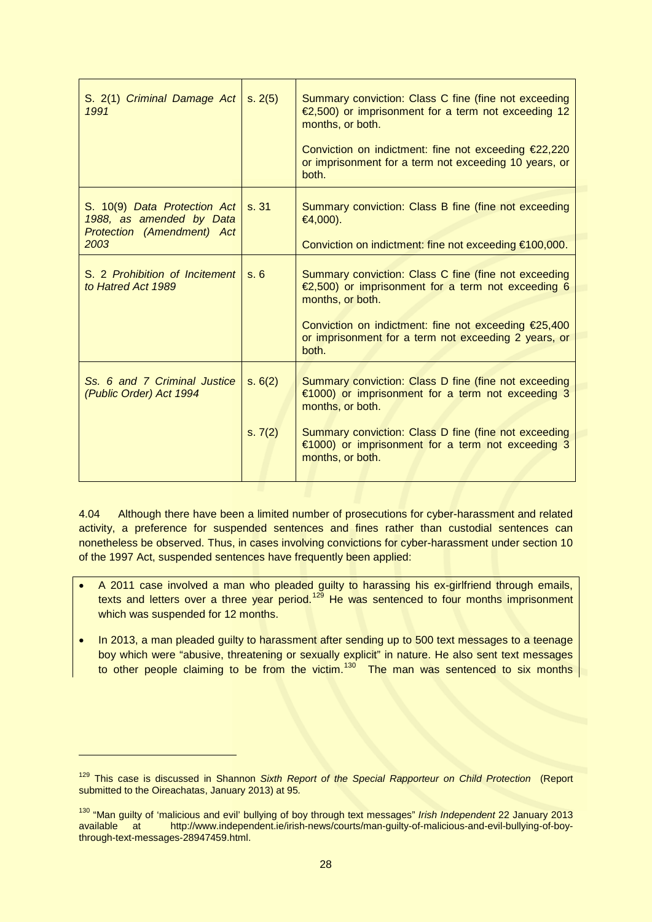| S. 2(1) Criminal Damage Act<br>1991                                                                   | s. 2(5)            | Summary conviction: Class C fine (fine not exceeding<br>$\epsilon$ ,500) or imprisonment for a term not exceeding 12<br>months, or both.<br>Conviction on indictment: fine not exceeding €22,220<br>or imprisonment for a term not exceeding 10 years, or<br>both.       |
|-------------------------------------------------------------------------------------------------------|--------------------|--------------------------------------------------------------------------------------------------------------------------------------------------------------------------------------------------------------------------------------------------------------------------|
| S. 10(9) Data Protection Act<br>1988, as amended by Data<br><b>Protection (Amendment) Act</b><br>2003 | s.31               | Summary conviction: Class B fine (fine not exceeding<br>$€4,000$ ).<br>Conviction on indictment: fine not exceeding €100,000.                                                                                                                                            |
| S. 2 Prohibition of Incitement<br>to Hatred Act 1989                                                  | s.6                | Summary conviction: Class C fine (fine not exceeding<br>$\infty$ ,500) or imprisonment for a term not exceeding 6<br>months, or both.<br>Conviction on indictment: fine not exceeding €25,400<br>or imprisonment for a term not exceeding 2 years, or<br>both.           |
| Ss. 6 and 7 Criminal Justice<br>(Public Order) Act 1994                                               | s. 6(2)<br>s. 7(2) | Summary conviction: Class D fine (fine not exceeding<br>$\epsilon$ 1000) or imprisonment for a term not exceeding 3<br>months, or both.<br>Summary conviction: Class D fine (fine not exceeding<br>€1000) or imprisonment for a term not exceeding 3<br>months, or both. |

4.04 Although there have been a limited number of prosecutions for cyber-harassment and related activity, a preference for suspended sentences and fines rather than custodial sentences can nonetheless be observed. Thus, in cases involving convictions for cyber-harassment under section 10 of the 1997 Act, suspended sentences have frequently been applied:

- A 2011 case involved a man who pleaded guilty to harassing his ex-girlfriend through emails, texts and letters over a three year period.<sup>[129](#page-27-0)</sup> He was sentenced to four months imprisonment which was suspended for 12 months.
- In 2013, a man pleaded guilty to harassment after sending up to 500 text messages to a teenage boy which were "abusive, threatening or sexually explicit" in nature. He also sent text messages to other people claiming to be from the victim.<sup>[130](#page-27-1)</sup> The man was sentenced to six months

<span id="page-27-0"></span><sup>129</sup> This case is discussed in Shannon *Sixth Report of the Special Rapporteur on Child Protection* (Report submitted to the Oireachatas, January 2013) at 95*.*

<span id="page-27-1"></span><sup>130</sup> "Man guilty of 'malicious and evil' bullying of boy through text messages" *Irish Independent* 22 January 2013 available at http://www.independent.ie/irish-news/courts/man-guilty-of-malicious-and-evil-bullying-of-boythrough-text-messages-28947459.html.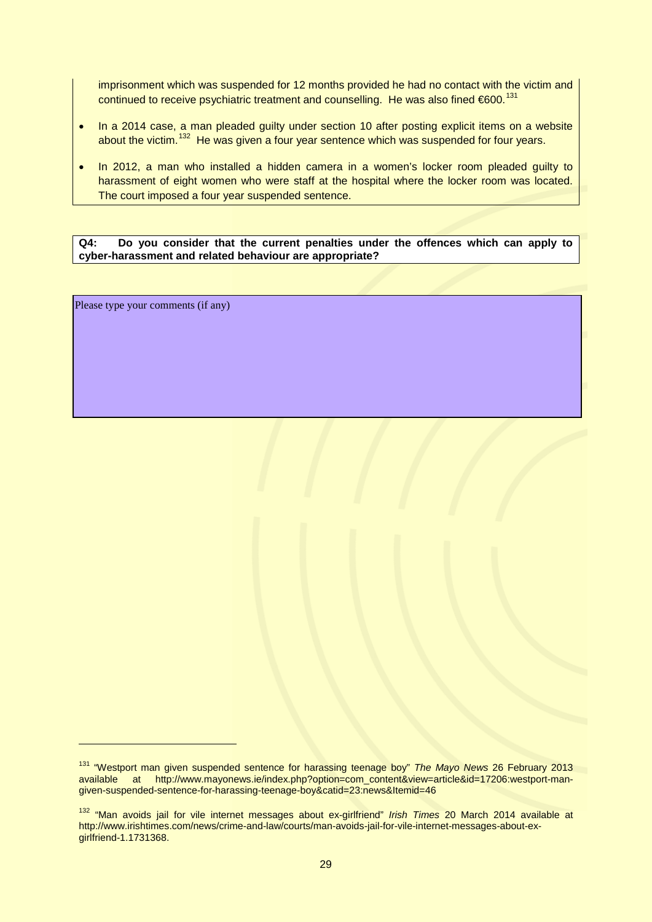imprisonment which was suspended for 12 months provided he had no contact with the victim and continued to receive psychiatric treatment and counselling. He was also fined €600.<sup>[131](#page-28-0)</sup>

- In a 2014 case, a man pleaded guilty under section 10 after posting explicit items on a website about the victim.<sup>[132](#page-28-1)</sup> He was given a four year sentence which was suspended for four years.
- In 2012, a man who installed a hidden camera in a women's locker room pleaded guilty to harassment of eight women who were staff at the hospital where the locker room was located. The court imposed a four year suspended sentence.

**Q4: Do you consider that the current penalties under the offences which can apply to cyber-harassment and related behaviour are appropriate?**

Please type your comments (if any)

<span id="page-28-0"></span><sup>131</sup> "Westport man given suspended sentence for harassing teenage boy" *The Mayo News* 26 February 2013 available at http://www.mayonews.ie/index.php?option=com\_content&view=article&id=17206:westport-mangiven-suspended-sentence-for-harassing-teenage-boy&catid=23:news&Itemid=46

<span id="page-28-1"></span><sup>132</sup> "Man avoids jail for vile internet messages about ex-girlfriend" *Irish Times* 20 March 2014 available at http://www.irishtimes.com/news/crime-and-law/courts/man-avoids-jail-for-vile-internet-messages-about-exgirlfriend-1.1731368.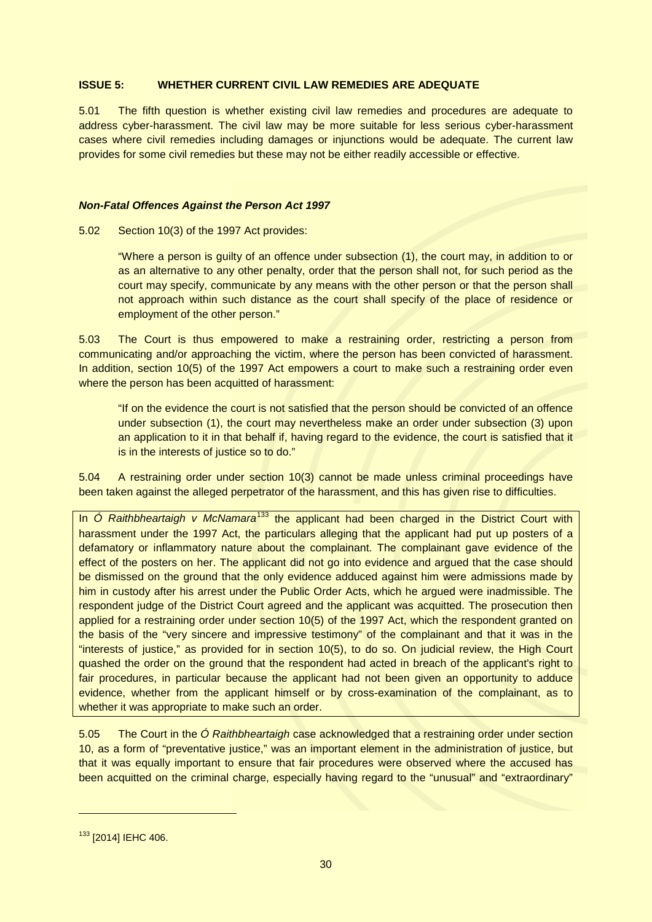# **ISSUE 5: WHETHER CURRENT CIVIL LAW REMEDIES ARE ADEQUATE**

5.01 The fifth question is whether existing civil law remedies and procedures are adequate to address cyber-harassment. The civil law may be more suitable for less serious cyber-harassment cases where civil remedies including damages or injunctions would be adequate. The current law provides for some civil remedies but these may not be either readily accessible or effective.

## *Non-Fatal Offences Against the Person Act 1997*

5.02 Section 10(3) of the 1997 Act provides:

"Where a person is guilty of an offence under subsection (1), the court may, in addition to or as an alternative to any other penalty, order that the person shall not, for such period as the court may specify, communicate by any means with the other person or that the person shall not approach within such distance as the court shall specify of the place of residence or employment of the other person."

5.03 The Court is thus empowered to make a restraining order, restricting a person from communicating and/or approaching the victim, where the person has been convicted of harassment. In addition, section 10(5) of the 1997 Act empowers a court to make such a restraining order even where the person has been acquitted of harassment:

"If on the evidence the court is not satisfied that the person should be convicted of an offence under subsection (1), the court may nevertheless make an order under subsection (3) upon an application to it in that behalf if, having regard to the evidence, the court is satisfied that it is in the interests of justice so to do."

5.04 A restraining order under section 10(3) cannot be made unless criminal proceedings have been taken against the alleged perpetrator of the harassment, and this has given rise to difficulties.

In *Ó Raithbheartaigh v McNamara*<sup>[133](#page-29-0)</sup> the applicant had been charged in the District Court with harassment under the 1997 Act, the particulars alleging that the applicant had put up posters of a defamatory or inflammatory nature about the complainant. The complainant gave evidence of the effect of the posters on her. The applicant did not go into evidence and argued that the case should be dismissed on the ground that the only evidence adduced against him were admissions made by him in custody after his arrest under the Public Order Acts, which he argued were inadmissible. The respondent judge of the District Court agreed and the applicant was acquitted. The prosecution then applied for a restraining order under section 10(5) of the 1997 Act, which the respondent granted on the basis of the "very sincere and impressive testimony" of the complainant and that it was in the "interests of justice," as provided for in section 10(5), to do so. On judicial review, the High Court quashed the order on the ground that the respondent had acted in breach of the applicant's right to fair procedures, in particular because the applicant had not been given an opportunity to adduce evidence, whether from the applicant himself or by cross-examination of the complainant, as to whether it was appropriate to make such an order.

5.05 The Court in the *Ó Raithbheartaigh* case acknowledged that a restraining order under section 10, as a form of "preventative justice," was an important element in the administration of justice, but that it was equally important to ensure that fair procedures were observed where the accused has been acquitted on the criminal charge, especially having regard to the "unusual" and "extraordinary"

<span id="page-29-0"></span><sup>133 [2014]</sup> IEHC 406.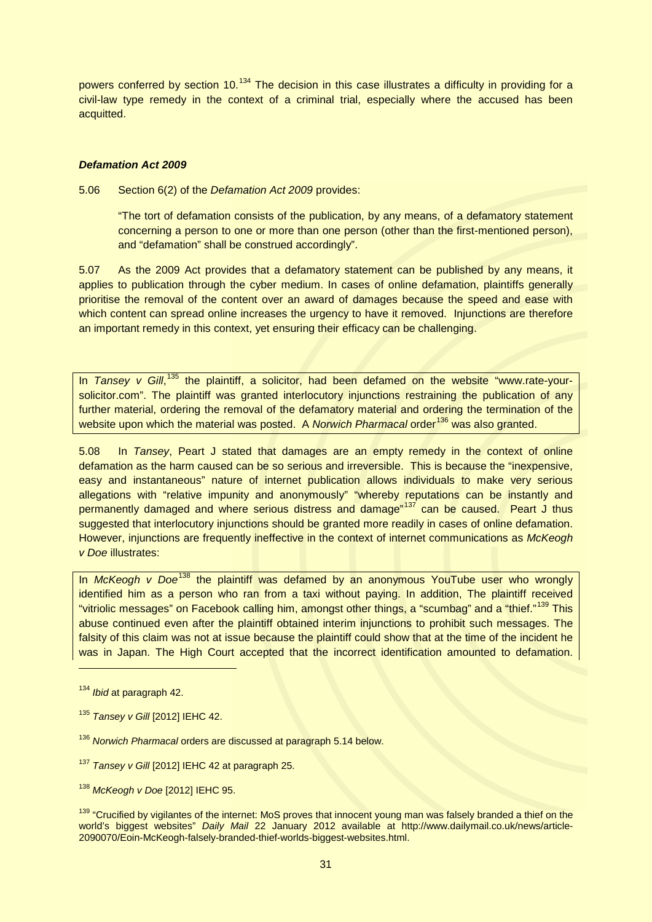powers conferred by section 10.<sup>[134](#page-30-0)</sup> The decision in this case illustrates a difficulty in providing for a civil-law type remedy in the context of a criminal trial, especially where the accused has been acquitted.

# *Defamation Act 2009*

5.06 Section 6(2) of the *Defamation Act 2009* provides:

"The tort of defamation consists of the publication, by any means, of a defamatory statement concerning a person to one or more than one person (other than the first-mentioned person), and "defamation" shall be construed accordingly".

5.07 As the 2009 Act provides that a defamatory statement can be published by any means, it applies to publication through the cyber medium. In cases of online defamation, plaintiffs generally prioritise the removal of the content over an award of damages because the speed and ease with which content can spread online increases the urgency to have it removed. Injunctions are therefore an important remedy in this context, yet ensuring their efficacy can be challenging.

In Tansey v Gill,<sup>[135](#page-30-1)</sup> the plaintiff, a solicitor, had been defamed on the website "www.rate-yoursolicitor.com". The plaintiff was granted interlocutory injunctions restraining the publication of any further material, ordering the removal of the defamatory material and ordering the termination of the website upon which the material was posted. A *Norwich Pharmacal* order<sup>[136](#page-30-2)</sup> was also granted.

5.08 In *Tansey*, Peart J stated that damages are an empty remedy in the context of online defamation as the harm caused can be so serious and irreversible. This is because the "inexpensive, easy and instantaneous" nature of internet publication allows individuals to make very serious allegations with "relative impunity and anonymously" "whereby reputations can be instantly and permanently damaged and where serious distress and damage"<sup>[137](#page-30-3)</sup> can be caused. Peart J thus suggested that interlocutory injunctions should be granted more readily in cases of online defamation. However, injunctions are frequently ineffective in the context of internet communications as *McKeogh v Doe* illustrates:

In *McKeogh v Doe<sup>[138](#page-30-4)</sup>* the plaintiff was defamed by an anonymous YouTube user who wrongly identified him as a person who ran from a taxi without paying. In addition, The plaintiff received "vitriolic messages" on Facebook calling him, amongst other things, a "scumbag" and a "thief." [139](#page-30-5) This abuse continued even after the plaintiff obtained interim injunctions to prohibit such messages. The falsity of this claim was not at issue because the plaintiff could show that at the time of the incident he was in Japan. The High Court accepted that the incorrect identification amounted to defamation.

<span id="page-30-0"></span><sup>134</sup> *Ibid* at paragraph 42.

<span id="page-30-1"></span><sup>135</sup> *Tansey v Gill* [2012] IEHC 42.

<span id="page-30-2"></span><sup>136</sup> *Norwich Pharmacal* orders are discussed at paragraph 5.14 below.

<span id="page-30-3"></span><sup>137</sup> *Tansey v Gill* [2012] IEHC 42 at paragraph 25.

<span id="page-30-4"></span><sup>138</sup> *McKeogh v Doe* [2012] IEHC 95.

<span id="page-30-5"></span><sup>&</sup>lt;sup>139</sup> "Crucified by vigilantes of the internet: MoS proves that innocent young man was falsely branded a thief on the world's biggest websites" *Daily Mail* 22 January 2012 available at http://www.dailymail.co.uk/news/article-2090070/Eoin-McKeogh-falsely-branded-thief-worlds-biggest-websites.html.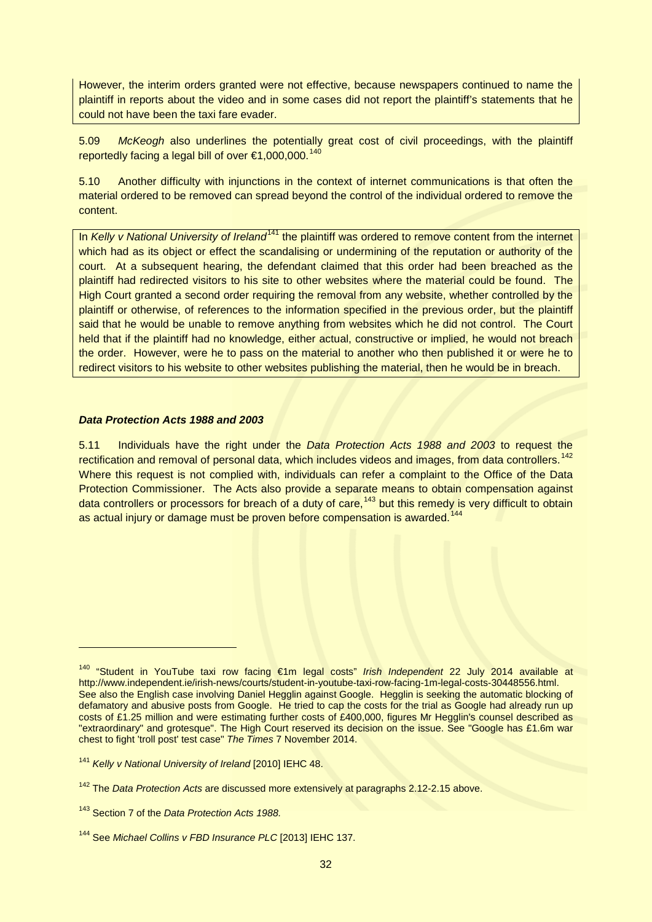However, the interim orders granted were not effective, because newspapers continued to name the plaintiff in reports about the video and in some cases did not report the plaintiff's statements that he could not have been the taxi fare evader.

5.09 *McKeogh* also underlines the potentially great cost of civil proceedings, with the plaintiff reportedly facing a legal bill of over €1,000,000.<sup>140</sup>

5.10 Another difficulty with injunctions in the context of internet communications is that often the material ordered to be removed can spread beyond the control of the individual ordered to remove the content.

In *Kelly v National University of Ireland*<sup>[141](#page-31-1)</sup> the plaintiff was ordered to remove content from the internet which had as its object or effect the scandalising or undermining of the reputation or authority of the court. At a subsequent hearing, the defendant claimed that this order had been breached as the plaintiff had redirected visitors to his site to other websites where the material could be found. The High Court granted a second order requiring the removal from any website, whether controlled by the plaintiff or otherwise, of references to the information specified in the previous order, but the plaintiff said that he would be unable to remove anything from websites which he did not control. The Court held that if the plaintiff had no knowledge, either actual, constructive or implied, he would not breach the order. However, were he to pass on the material to another who then published it or were he to redirect visitors to his website to other websites publishing the material, then he would be in breach.

### *Data Protection Acts 1988 and 2003*

5.11 Individuals have the right under the *Data Protection Acts 1988 and 2003* to request the rectification and removal of personal data, which includes videos and images, from data controllers.<sup>[142](#page-31-2)</sup> Where this request is not complied with, individuals can refer a complaint to the Office of the Data Protection Commissioner. The Acts also provide a separate means to obtain compensation against data controllers or processors for breach of a duty of care,<sup>[143](#page-31-3)</sup> but this remedy is very difficult to obtain as actual injury or damage must be proven before compensation is awarded.<sup>[144](#page-31-4)</sup>

<span id="page-31-0"></span><sup>140</sup> "Student in YouTube taxi row facing €1m legal costs" *Irish Independent* 22 July 2014 available at http://www.independent.ie/irish-news/courts/student-in-youtube-taxi-row-facing-1m-legal-costs-30448556.html. See also the English case involving Daniel Hegglin against Google. Hegglin is seeking the automatic blocking of defamatory and abusive posts from Google. He tried to cap the costs for the trial as Google had already run up costs of £1.25 million and were estimating further costs of £400,000, figures Mr Hegglin's counsel described as "extraordinary" and grotesque". The High Court reserved its decision on the issue. See "Google has £1.6m war chest to fight 'troll post' test case" *The Times* 7 November 2014.

<span id="page-31-1"></span><sup>141</sup> *Kelly v National University of Ireland* [2010] IEHC 48.

<span id="page-31-2"></span><sup>142</sup> The *Data Protection Acts* are discussed more extensively at paragraphs 2.12-2.15 above.

<span id="page-31-3"></span><sup>143</sup> Section 7 of the *Data Protection Acts 1988.*

<span id="page-31-4"></span><sup>144</sup> See *Michael Collins v FBD Insurance PLC* [2013] IEHC 137.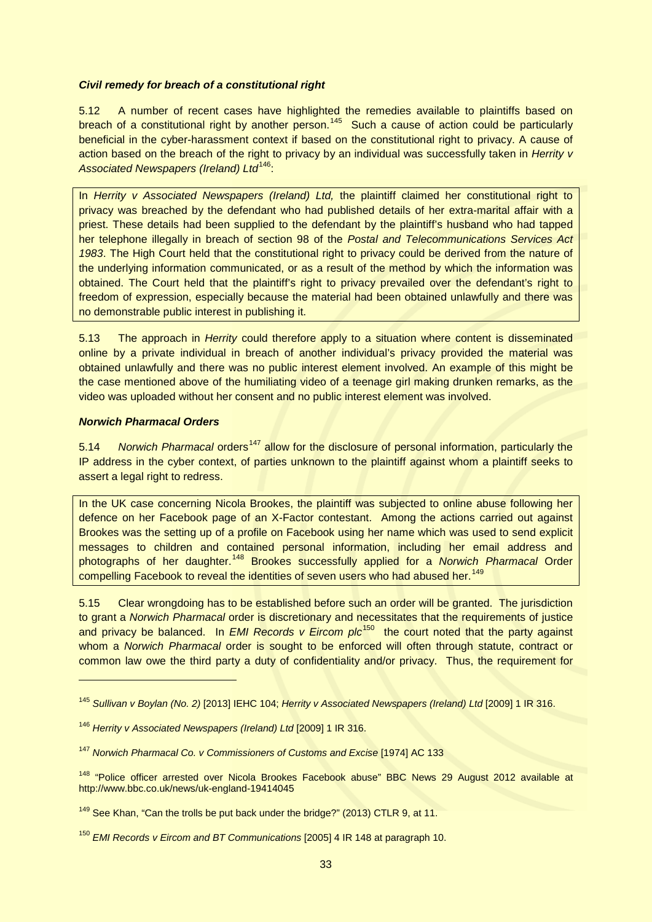# *Civil remedy for breach of a constitutional right*

5.12 A number of recent cases have highlighted the remedies available to plaintiffs based on breach of a constitutional right by another person.<sup>[145](#page-32-0)</sup> Such a cause of action could be particularly beneficial in the cyber-harassment context if based on the constitutional right to privacy. A cause of action based on the breach of the right to privacy by an individual was successfully taken in *Herrity v*  Associated Newspapers (Ireland) Ltd<sup>[146](#page-32-1)</sup>:

In *Herrity v Associated Newspapers (Ireland) Ltd,* the plaintiff claimed her constitutional right to privacy was breached by the defendant who had published details of her extra-marital affair with a priest. These details had been supplied to the defendant by the plaintiff's husband who had tapped her telephone illegally in breach of section 98 of the *Postal and Telecommunications Services Act 1983*. The High Court held that the constitutional right to privacy could be derived from the nature of the underlying information communicated, or as a result of the method by which the information was obtained. The Court held that the plaintiff's right to privacy prevailed over the defendant's right to freedom of expression, especially because the material had been obtained unlawfully and there was no demonstrable public interest in publishing it.

5.13 The approach in *Herrity* could therefore apply to a situation where content is disseminated online by a private individual in breach of another individual's privacy provided the material was obtained unlawfully and there was no public interest element involved. An example of this might be the case mentioned above of the humiliating video of a teenage girl making drunken remarks, as the video was uploaded without her consent and no public interest element was involved.

# *Norwich Pharmacal Orders*

-

5.14 *Norwich Pharmacal* orders<sup>[147](#page-32-2)</sup> allow for the disclosure of personal information, particularly the IP address in the cyber context, of parties unknown to the plaintiff against whom a plaintiff seeks to assert a legal right to redress.

In the UK case concerning Nicola Brookes, the plaintiff was subjected to online abuse following her defence on her Facebook page of an X-Factor contestant. Among the actions carried out against Brookes was the setting up of a profile on Facebook using her name which was used to send explicit messages to children and contained personal information, including her email address and photographs of her daughter.[148](#page-32-3) Brookes successfully applied for a *Norwich Pharmacal* Order compelling Facebook to reveal the identities of seven users who had abused her.<sup>[149](#page-32-4)</sup>

5.15 Clear wrongdoing has to be established before such an order will be granted. The jurisdiction to grant a *Norwich Pharmacal* order is discretionary and necessitates that the requirements of justice and privacy be balanced. In *EMI Records v Eircom plc*<sup>[150](#page-32-5)</sup> the court noted that the party against whom a *Norwich Pharmacal* order is sought to be enforced will often through statute, contract or common law owe the third party a duty of confidentiality and/or privacy. Thus, the requirement for

<span id="page-32-0"></span><sup>145</sup> *Sullivan v Boylan (No. 2)* [2013] IEHC 104; *Herrity v Associated Newspapers (Ireland) Ltd* [2009] 1 IR 316.

<span id="page-32-1"></span><sup>146</sup> *Herrity v Associated Newspapers (Ireland) Ltd* [2009] 1 IR 316.

<span id="page-32-2"></span><sup>147</sup> *Norwich Pharmacal Co. v Commissioners of Customs and Excise* [1974] AC 133

<span id="page-32-3"></span><sup>&</sup>lt;sup>148</sup> "Police officer arrested over Nicola Brookes Facebook abuse" BBC News 29 August 2012 available at http://www.bbc.co.uk/news/uk-england-19414045

<span id="page-32-4"></span><sup>&</sup>lt;sup>149</sup> See Khan, "Can the trolls be put back under the bridge?" (2013) CTLR 9, at 11.

<span id="page-32-5"></span><sup>150</sup> *EMI Records v Eircom and BT Communications* [2005] 4 IR 148 at paragraph 10.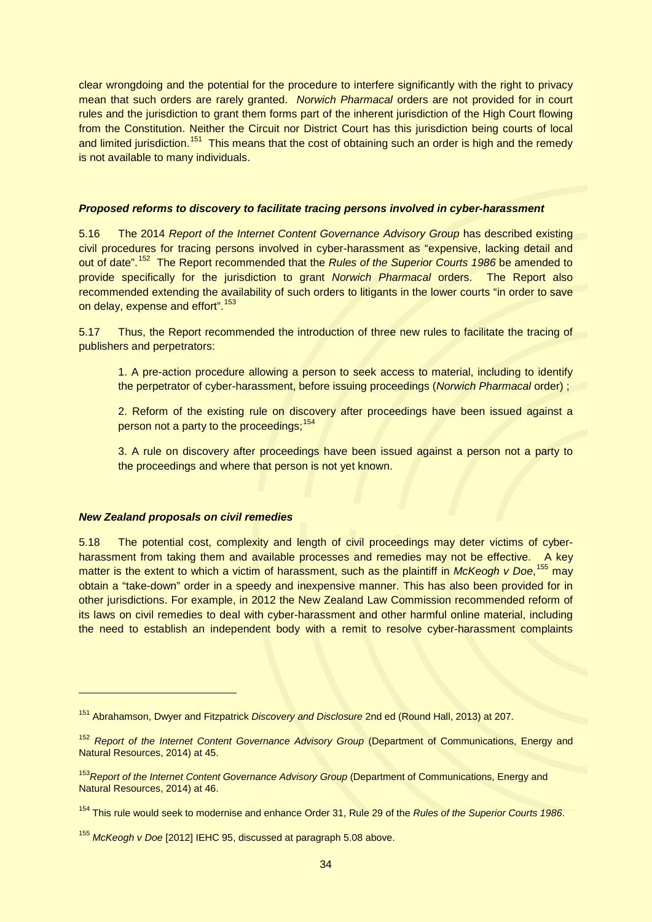clear wrongdoing and the potential for the procedure to interfere significantly with the right to privacy mean that such orders are rarely granted. *Norwich Pharmacal* orders are not provided for in court rules and the jurisdiction to grant them forms part of the inherent jurisdiction of the High Court flowing from the Constitution. Neither the Circuit nor District Court has this jurisdiction being courts of local and limited jurisdiction.<sup>151</sup> This means that the cost of obtaining such an order is high and the remedy is not available to many individuals.

#### *Proposed reforms to discovery to facilitate tracing persons involved in cyber-harassment*

5.16 The 2014 *Report of the Internet Content Governance Advisory Group* has described existing civil procedures for tracing persons involved in cyber-harassment as "expensive, lacking detail and out of date". [152](#page-33-1) The Report recommended that the *Rules of the Superior Courts 1986* be amended to provide specifically for the jurisdiction to grant *Norwich Pharmacal* orders. The Report also recommended extending the availability of such orders to litigants in the lower courts "in order to save on delay, expense and effort".<sup>153</sup>

5.17 Thus, the Report recommended the introduction of three new rules to facilitate the tracing of publishers and perpetrators:

1. A pre-action procedure allowing a person to seek access to material, including to identify the perpetrator of cyber-harassment, before issuing proceedings (*Norwich Pharmacal* order) ;

2. Reform of the existing rule on discovery after proceedings have been issued against a person not a party to the proceedings;<sup>[154](#page-33-3)</sup>

3. A rule on discovery after proceedings have been issued against a person not a party to the proceedings and where that person is not yet known.

# *New Zealand proposals on civil remedies*

-

5.18 The potential cost, complexity and length of civil proceedings may deter victims of cyberharassment from taking them and available processes and remedies may not be effective. A key matter is the extent to which a victim of harassment, such as the plaintiff in *McKeogh v Doe*, [155](#page-33-4) may obtain a "take-down" order in a speedy and inexpensive manner. This has also been provided for in other jurisdictions. For example, in 2012 the New Zealand Law Commission recommended reform of its laws on civil remedies to deal with cyber-harassment and other harmful online material, including the need to establish an independent body with a remit to resolve cyber-harassment complaints

<span id="page-33-0"></span><sup>151</sup> Abrahamson, Dwyer and Fitzpatrick *Discovery and Disclosure* 2nd ed (Round Hall, 2013) at 207.

<span id="page-33-1"></span><sup>152</sup> *Report of the Internet Content Governance Advisory Group* (Department of Communications, Energy and Natural Resources, 2014) at 45.

<span id="page-33-2"></span><sup>153</sup>*Report of the Internet Content Governance Advisory Group* (Department of Communications, Energy and Natural Resources, 2014) at 46.

<span id="page-33-3"></span><sup>154</sup> This rule would seek to modernise and enhance Order 31, Rule 29 of the *Rules of the Superior Courts 1986*.

<span id="page-33-4"></span><sup>155</sup> *McKeogh v Doe* [2012] IEHC 95, discussed at paragraph 5.08 above.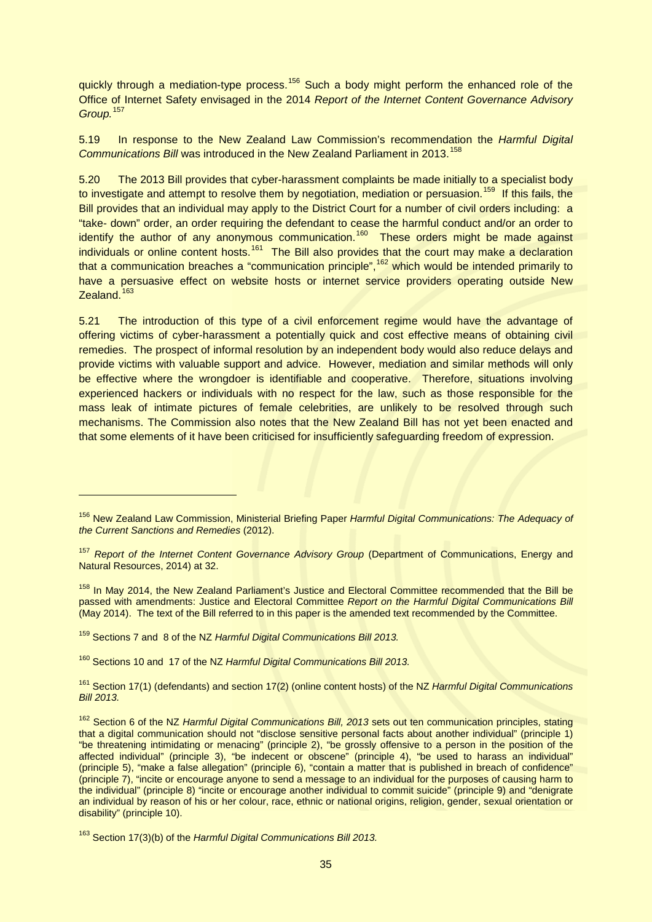quickly through a mediation-type process.<sup>[156](#page-34-0)</sup> Such a body might perform the enhanced role of the Office of Internet Safety envisaged in the 2014 *Report of the Internet Content Governance Advisory Group.* [157](#page-34-1)

5.19 In response to the New Zealand Law Commission's recommendation the *Harmful Digital*  **Communications Bill was introduced in the New Zealand Parliament in 2013.**<sup>[158](#page-34-2)</sup>

5.20 The 2013 Bill provides that cyber-harassment complaints be made initially to a specialist body to investigate and attempt to resolve them by negotiation, mediation or persuasion.<sup>[159](#page-34-3)</sup> If this fails, the Bill provides that an individual may apply to the District Court for a number of civil orders including: a "take- down" order, an order requiring the defendant to cease the harmful conduct and/or an order to identify the author of any anonymous communication.<sup>[160](#page-34-4)</sup> These orders might be made against individuals or online content hosts.<sup>[161](#page-34-5)</sup> The Bill also provides that the court may make a declaration that a communication breaches a "communication principle", <sup>[162](#page-34-6)</sup> which would be intended primarily to have a persuasive effect on website hosts or internet service providers operating outside New Zealand.<sup>[163](#page-34-7)</sup>

5.21 The introduction of this type of a civil enforcement regime would have the advantage of offering victims of cyber-harassment a potentially quick and cost effective means of obtaining civil remedies. The prospect of informal resolution by an independent body would also reduce delays and provide victims with valuable support and advice. However, mediation and similar methods will only be effective where the wrongdoer is identifiable and cooperative. Therefore, situations involving experienced hackers or individuals with no respect for the law, such as those responsible for the mass leak of intimate pictures of female celebrities, are unlikely to be resolved through such mechanisms. The Commission also notes that the New Zealand Bill has not yet been enacted and that some elements of it have been criticised for insufficiently safeguarding freedom of expression.

<span id="page-34-2"></span><sup>158</sup> In May 2014, the New Zealand Parliament's Justice and Electoral Committee recommended that the Bill be passed with amendments: Justice and Electoral Committee *Report on the Harmful Digital Communications Bill* (May 2014). The text of the Bill referred to in this paper is the amended text recommended by the Committee.

<span id="page-34-3"></span><sup>159</sup> Sections 7 and 8 of the NZ *Harmful Digital Communications Bill 2013.*

-

<span id="page-34-4"></span><sup>160</sup> Sections 10 and 17 of the NZ *Harmful Digital Communications Bill 2013.*

<span id="page-34-5"></span><sup>161</sup> Section 17(1) (defendants) and section 17(2) (online content hosts) of the NZ *Harmful Digital Communications Bill 2013.*

<span id="page-34-6"></span><sup>162</sup> Section 6 of the NZ *Harmful Digital Communications Bill, 2013* sets out ten communication principles, stating that a digital communication should not "disclose sensitive personal facts about another individual" (principle 1) "be threatening intimidating or menacing" (principle 2), "be grossly offensive to a person in the position of the affected individual" (principle 3), "be indecent or obscene" (principle 4), "be used to harass an individual" (principle 5), "make a false allegation" (principle 6), "contain a matter that is published in breach of confidence" (principle 7), "incite or encourage anyone to send a message to an individual for the purposes of causing harm to the individual" (principle 8) "incite or encourage another individual to commit suicide" (principle 9) and "denigrate an individual by reason of his or her colour, race, ethnic or national origins, religion, gender, sexual orientation or disability" (principle 10).

<span id="page-34-0"></span><sup>156</sup> New Zealand Law Commission, Ministerial Briefing Paper *Harmful Digital Communications: The Adequacy of the Current Sanctions and Remedies* (2012).

<span id="page-34-1"></span><sup>157</sup> *Report of the Internet Content Governance Advisory Group* (Department of Communications, Energy and Natural Resources, 2014) at 32.

<span id="page-34-7"></span><sup>163</sup> Section 17(3)(b) of the *Harmful Digital Communications Bill 2013.*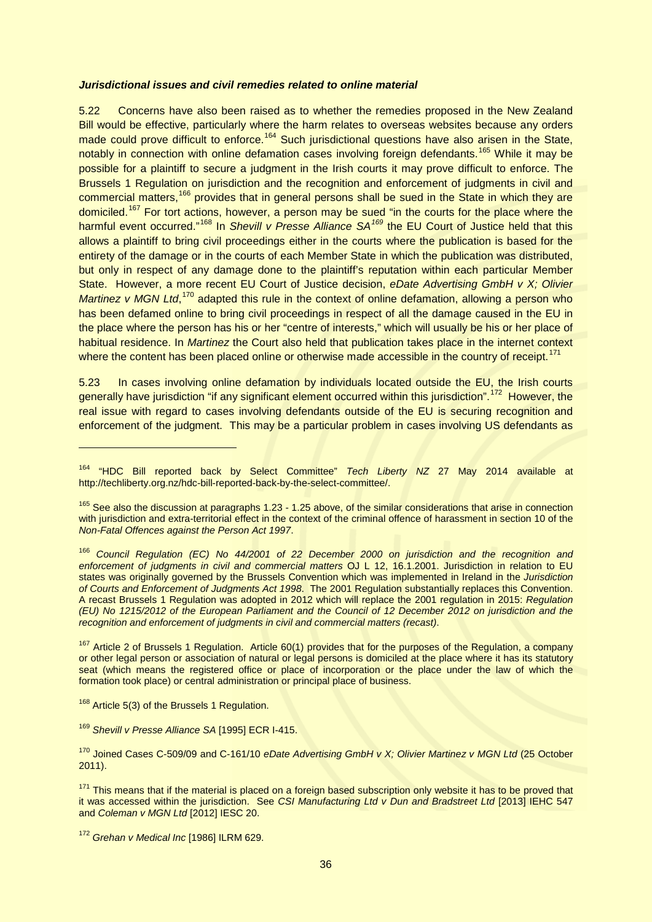#### *Jurisdictional issues and civil remedies related to online material*

5.22 Concerns have also been raised as to whether the remedies proposed in the New Zealand Bill would be effective, particularly where the harm relates to overseas websites because any orders made could prove difficult to enforce.<sup>[164](#page-35-0)</sup> Such jurisdictional questions have also arisen in the State, notably in connection with online defamation cases involving foreign defendants.<sup>[165](#page-35-1)</sup> While it may be possible for a plaintiff to secure a judgment in the Irish courts it may prove difficult to enforce. The Brussels 1 Regulation on jurisdiction and the recognition and enforcement of judgments in civil and commercial matters,<sup>[166](#page-35-2)</sup> provides that in general persons shall be sued in the State in which they are domiciled.[167](#page-35-3) For tort actions, however, a person may be sued "in the courts for the place where the harmful event occurred." [168](#page-35-4) In *Shevill v Presse Alliance SA[169](#page-35-5)* the EU Court of Justice held that this allows a plaintiff to bring civil proceedings either in the courts where the publication is based for the entirety of the damage or in the courts of each Member State in which the publication was distributed, but only in respect of any damage done to the plaintiff's reputation within each particular Member State. However, a more recent EU Court of Justice decision, *eDate Advertising GmbH v X; Olivier*  Martinez v MGN Ltd,<sup>[170](#page-35-6)</sup> adapted this rule in the context of online defamation, allowing a person who has been defamed online to bring civil proceedings in respect of all the damage caused in the EU in the place where the person has his or her "centre of interests," which will usually be his or her place of habitual residence. In *Martinez* the Court also held that publication takes place in the internet context where the content has been placed online or otherwise made accessible in the country of receipt.<sup>[171](#page-35-7)</sup>

5.23 In cases involving online defamation by individuals located outside the EU, the Irish courts generally have jurisdiction "if any significant element occurred within this jurisdiction".<sup>172</sup> However, the real issue with regard to cases involving defendants outside of the EU is securing recognition and enforcement of the judgment. This may be a particular problem in cases involving US defendants as

<span id="page-35-3"></span><sup>167</sup> Article 2 of Brussels 1 Regulation. Article 60(1) provides that for the purposes of the Regulation, a company or other legal person or association of natural or legal persons is domiciled at the place where it has its statutory seat (which means the registered office or place of incorporation or the place under the law of which the formation took place) or central administration or principal place of business.

<span id="page-35-4"></span><sup>168</sup> Article 5(3) of the Brussels 1 Regulation.

-

<span id="page-35-5"></span><sup>169</sup> *Shevill v Presse Alliance SA* [1995] ECR I-415.

<span id="page-35-0"></span><sup>164</sup> "HDC Bill reported back by Select Committee" *Tech Liberty NZ* 27 May 2014 available at http://techliberty.org.nz/hdc-bill-reported-back-by-the-select-committee/.

<span id="page-35-1"></span><sup>&</sup>lt;sup>165</sup> See also the discussion at paragraphs 1.23 - 1.25 above, of the similar considerations that arise in connection with jurisdiction and extra-territorial effect in the context of the criminal offence of harassment in section 10 of the *Non-Fatal Offences against the Person Act 1997*.

<span id="page-35-2"></span><sup>166</sup> *Council Regulation (EC) No 44/2001 of 22 December 2000 on jurisdiction and the recognition and enforcement of judgments in civil and commercial matters* OJ L 12, 16.1.2001. Jurisdiction in relation to EU states was originally governed by the Brussels Convention which was implemented in Ireland in the *Jurisdiction of Courts and Enforcement of Judgments Act 1998*. The 2001 Regulation substantially replaces this Convention. A recast Brussels 1 Regulation was adopted in 2012 which will replace the 2001 regulation in 2015: *Regulation (EU) No 1215/2012 of the European Parliament and the Council of 12 December 2012 on jurisdiction and the recognition and enforcement of judgments in civil and commercial matters (recast)*.

<span id="page-35-6"></span><sup>170</sup> Joined Cases C-509/09 and C-161/10 *eDate Advertising GmbH v X; Olivier Martinez v MGN Ltd* (25 October 2011).

<span id="page-35-7"></span><sup>&</sup>lt;sup>171</sup> This means that if the material is placed on a foreign based subscription only website it has to be proved that it was accessed within the jurisdiction. See *CSI Manufacturing Ltd v Dun and Bradstreet Ltd* [2013] IEHC 547 and *Coleman v MGN Ltd* [2012] IESC 20.

<span id="page-35-8"></span><sup>172</sup> *Grehan v Medical Inc* [1986] ILRM 629.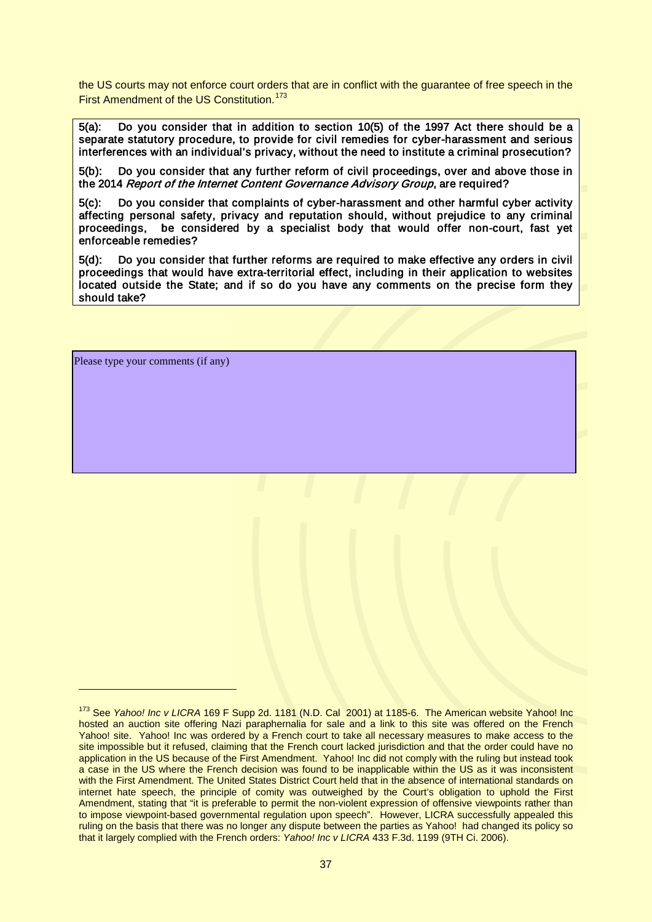the US courts may not enforce court orders that are in conflict with the guarantee of free speech in the First Amendment of the US Constitution.<sup>[173](#page-36-0)</sup>

5(a): Do you consider that in addition to section 10(5) of the 1997 Act there should be a separate statutory procedure, to provide for civil remedies for cyber-harassment and serious interferences with an individual's privacy, without the need to institute a criminal prosecution?

5(b): Do you consider that any further reform of civil proceedings, over and above those in the 2014 Report of the Internet Content Governance Advisory Group, are required?

5(c): Do you consider that complaints of cyber-harassment and other harmful cyber activity affecting personal safety, privacy and reputation should, without prejudice to any criminal proceedings, be considered by a specialist body that would offer non-court, fast yet enforceable remedies?

5(d): Do you consider that further reforms are required to make effective any orders in civil proceedings that would have extra-territorial effect, including in their application to websites located outside the State; and if so do you have any comments on the precise form they should take?

Please type your comments (if any)

<span id="page-36-0"></span><sup>&</sup>lt;sup>173</sup> See *Yahoo! Inc v LICRA* 169 F Supp 2d. 1181 (N.D. Cal 2001) at 1185-6. The American website Yahoo! Inc hosted an auction site offering Nazi paraphernalia for sale and a link to this site was offered on the French Yahoo! site. Yahoo! Inc was ordered by a French court to take all necessary measures to make access to the site impossible but it refused, claiming that the French court lacked jurisdiction and that the order could have no application in the US because of the First Amendment. Yahoo! Inc did not comply with the ruling but instead took a case in the US where the French decision was found to be inapplicable within the US as it was inconsistent with the First Amendment. The United States District Court held that in the absence of international standards on internet hate speech, the principle of comity was outweighed by the Court's obligation to uphold the First Amendment, stating that "it is preferable to permit the non-violent expression of offensive viewpoints rather than to impose viewpoint-based governmental regulation upon speech". However, LICRA successfully appealed this ruling on the basis that there was no longer any dispute between the parties as Yahoo! had changed its policy so that it largely complied with the French orders: *Yahoo! Inc v LICRA* 433 F.3d. 1199 (9TH Ci. 2006).